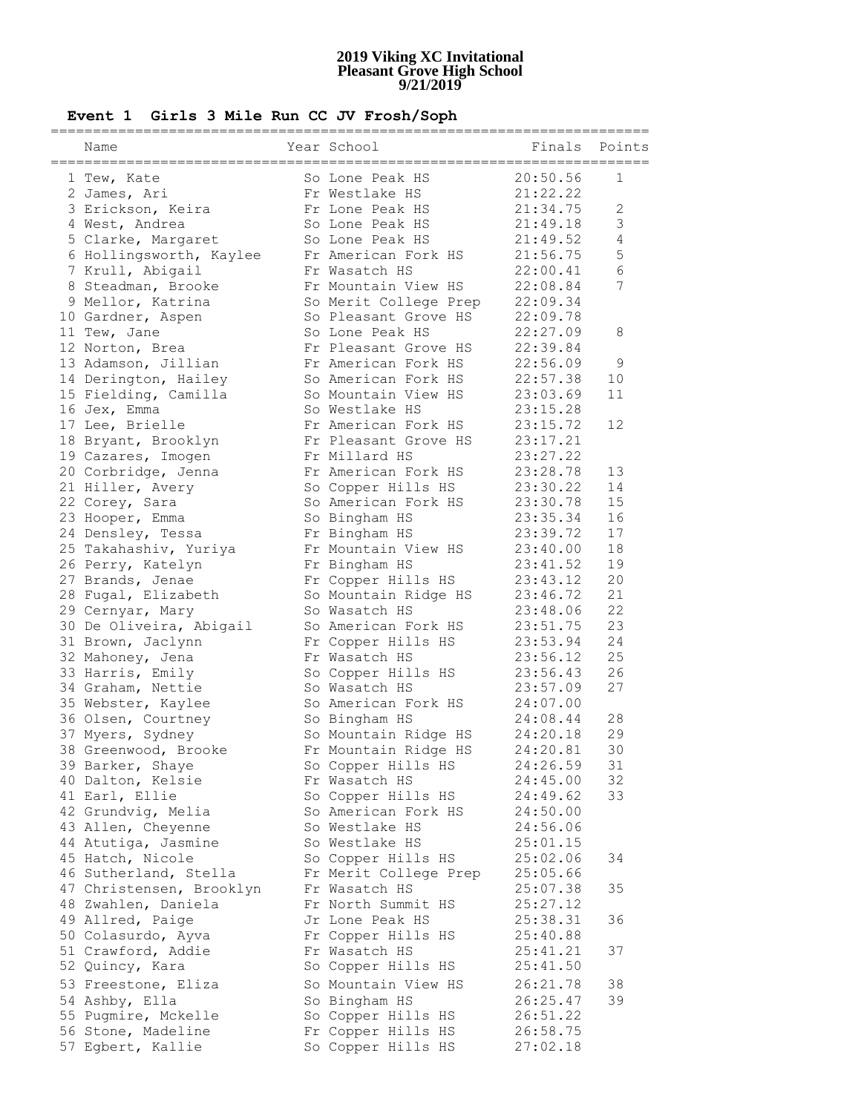### **Event 1 Girls 3 Mile Run CC JV Frosh/Soph**

| Name                     | Year School           | Finals   | Points          |
|--------------------------|-----------------------|----------|-----------------|
| 1 Tew, Kate              | So Lone Peak HS       | 20:50.56 | $\mathbf 1$     |
| 2 James, Ari             | Fr Westlake HS        | 21:22.22 |                 |
| 3 Erickson, Keira        | Fr Lone Peak HS       | 21:34.75 | 2               |
| 4 West, Andrea           | So Lone Peak HS       | 21:49.18 | $\mathfrak{Z}$  |
| 5 Clarke, Margaret       | So Lone Peak HS       | 21:49.52 | $\overline{4}$  |
| 6 Hollingsworth, Kaylee  | Fr American Fork HS   | 21:56.75 | 5               |
| 7 Krull, Abigail         | Fr Wasatch HS         | 22:00.41 | 6               |
|                          | Fr Mountain View HS   |          | $7\overline{ }$ |
| 8 Steadman, Brooke       |                       | 22:08.84 |                 |
| 9 Mellor, Katrina        | So Merit College Prep | 22:09.34 |                 |
| 10 Gardner, Aspen        | So Pleasant Grove HS  | 22:09.78 |                 |
| 11 Tew, Jane             | So Lone Peak HS       | 22:27.09 | 8               |
| 12 Norton, Brea          | Fr Pleasant Grove HS  | 22:39.84 |                 |
| 13 Adamson, Jillian      | Fr American Fork HS   | 22:56.09 | 9               |
| 14 Derington, Hailey     | So American Fork HS   | 22:57.38 | 10              |
| 15 Fielding, Camilla     | So Mountain View HS   | 23:03.69 | 11              |
| 16 Jex, Emma             | So Westlake HS        | 23:15.28 |                 |
| 17 Lee, Brielle          | Fr American Fork HS   | 23:15.72 | 12              |
| 18 Bryant, Brooklyn      | Fr Pleasant Grove HS  | 23:17.21 |                 |
| 19 Cazares, Imogen       | Fr Millard HS         | 23:27.22 |                 |
| 20 Corbridge, Jenna      | Fr American Fork HS   | 23:28.78 | 13              |
| 21 Hiller, Avery         | So Copper Hills HS    | 23:30.22 | 14              |
| 22 Corey, Sara           | So American Fork HS   | 23:30.78 | 15              |
| 23 Hooper, Emma          | So Bingham HS         | 23:35.34 | 16              |
| 24 Densley, Tessa        | Fr Bingham HS         | 23:39.72 | 17              |
| 25 Takahashiv, Yuriya    | Fr Mountain View HS   | 23:40.00 | 18              |
| 26 Perry, Katelyn        | Fr Bingham HS         | 23:41.52 | 19              |
| 27 Brands, Jenae         | Fr Copper Hills HS    | 23:43.12 | 20              |
| 28 Fugal, Elizabeth      | So Mountain Ridge HS  | 23:46.72 | 21              |
| 29 Cernyar, Mary         | So Wasatch HS         | 23:48.06 | 22              |
| 30 De Oliveira, Abigail  | So American Fork HS   | 23:51.75 | 23              |
| 31 Brown, Jaclynn        | Fr Copper Hills HS    | 23:53.94 | 24              |
| 32 Mahoney, Jena         | Fr Wasatch HS         | 23:56.12 | 25              |
| 33 Harris, Emily         | So Copper Hills HS    | 23:56.43 | 26              |
| 34 Graham, Nettie        | So Wasatch HS         | 23:57.09 | 27              |
| 35 Webster, Kaylee       | So American Fork HS   | 24:07.00 |                 |
| 36 Olsen, Courtney       | So Bingham HS         | 24:08.44 | 28              |
| 37 Myers, Sydney         | So Mountain Ridge HS  | 24:20.18 | 29              |
| 38 Greenwood, Brooke     | Fr Mountain Ridge HS  | 24:20.81 | 30              |
| 39 Barker, Shaye         | So Copper Hills HS    | 24:26.59 | 31              |
| 40 Dalton, Kelsie        | Fr Wasatch HS         | 24:45.00 | 32              |
| 41 Earl, Ellie           | So Copper Hills HS    | 24:49.62 | 33              |
| 42 Grundvig, Melia       | So American Fork HS   | 24:50.00 |                 |
| 43 Allen, Cheyenne       | So Westlake HS        | 24:56.06 |                 |
| 44 Atutiga, Jasmine      | So Westlake HS        | 25:01.15 |                 |
| 45 Hatch, Nicole         | So Copper Hills HS    | 25:02.06 | 34              |
| 46 Sutherland, Stella    | Fr Merit College Prep | 25:05.66 |                 |
| 47 Christensen, Brooklyn | Fr Wasatch HS         | 25:07.38 | 35              |
| 48 Zwahlen, Daniela      | Fr North Summit HS    | 25:27.12 |                 |
| 49 Allred, Paige         | Jr Lone Peak HS       | 25:38.31 | 36              |
| 50 Colasurdo, Ayva       | Fr Copper Hills HS    | 25:40.88 |                 |
| 51 Crawford, Addie       | Fr Wasatch HS         | 25:41.21 | 37              |
| 52 Quincy, Kara          | So Copper Hills HS    | 25:41.50 |                 |
| 53 Freestone, Eliza      | So Mountain View HS   | 26:21.78 | 38              |
| 54 Ashby, Ella           | So Bingham HS         | 26:25.47 | 39              |
| 55 Pugmire, Mckelle      | So Copper Hills HS    | 26:51.22 |                 |
| 56 Stone, Madeline       | Fr Copper Hills HS    | 26:58.75 |                 |
| 57 Egbert, Kallie        | So Copper Hills HS    | 27:02.18 |                 |
|                          |                       |          |                 |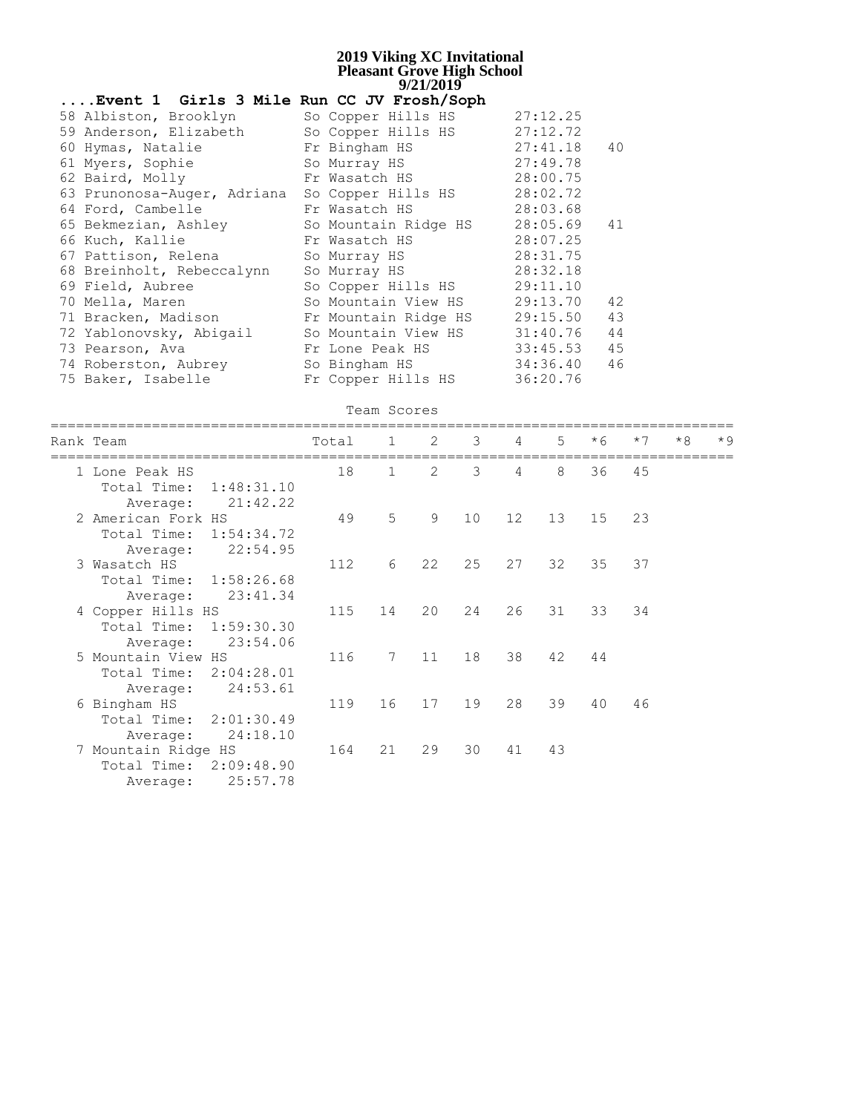| Event 1 Girls 3 Mile Run CC JV Frosh/Soph |                      |          |    |
|-------------------------------------------|----------------------|----------|----|
| 58 Albiston, Brooklyn                     | So Copper Hills HS   | 27:12.25 |    |
| 59 Anderson, Elizabeth                    | So Copper Hills HS   | 27:12.72 |    |
| 60 Hymas, Natalie                         | Fr Bingham HS        | 27:41.18 | 40 |
| 61 Myers, Sophie                          | So Murray HS         | 27:49.78 |    |
| 62 Baird, Molly                           | Fr Wasatch HS        | 28:00.75 |    |
| 63 Prunonosa-Auger, Adriana               | So Copper Hills HS   | 28:02.72 |    |
| 64 Ford, Cambelle                         | Fr Wasatch HS        | 28:03.68 |    |
| 65 Bekmezian, Ashley                      | So Mountain Ridge HS | 28:05.69 | 41 |
| 66 Kuch, Kallie                           | Fr Wasatch HS        | 28:07.25 |    |
| 67 Pattison, Relena                       | So Murray HS         | 28:31.75 |    |
| 68 Breinholt, Rebeccalynn                 | So Murray HS         | 28:32.18 |    |
| 69 Field, Aubree                          | So Copper Hills HS   | 29:11.10 |    |
| 70 Mella, Maren                           | So Mountain View HS  | 29:13.70 | 42 |
| 71 Bracken, Madison                       | Fr Mountain Ridge HS | 29:15.50 | 43 |
| 72 Yablonovsky, Abigail                   | So Mountain View HS  | 31:40.76 | 44 |
| 73 Pearson, Ava                           | Fr Lone Peak HS      | 33:45.53 | 45 |
| 74 Roberston, Aubrey                      | So Bingham HS        | 34:36.40 | 46 |
| 75 Baker, Isabelle                        | Fr Copper Hills HS   | 36:20.76 |    |

|  |  |  | Team Scores |
|--|--|--|-------------|
|--|--|--|-------------|

| Rank Team               |                        | Total | 1               | 2  | 3  | 4               | $5^{\circ}$ | $*6$ | $*7$ | $*8$ | $*9$ |
|-------------------------|------------------------|-------|-----------------|----|----|-----------------|-------------|------|------|------|------|
| 1 Lone Peak HS          |                        | 18    | $\mathbf{1}$    | 2  | 3  | 4               | 8           | 36   | 45   |      |      |
| Total Time:<br>Average: | 1:48:31.10<br>21:42.22 |       |                 |    |    |                 |             |      |      |      |      |
| 2 American Fork HS      |                        | 49    | 5               | 9  | 10 | 12 <sup>°</sup> | 13          | 15   | 23   |      |      |
| Total Time: 1:54:34.72  |                        |       |                 |    |    |                 |             |      |      |      |      |
| Average:                | 22:54.95               |       |                 |    |    |                 |             |      |      |      |      |
| 3 Wasatch HS            |                        | 112   | 6               | 22 | 25 | 27              | 32          | 35   | 37   |      |      |
| Total Time:             | 1:58:26.68             |       |                 |    |    |                 |             |      |      |      |      |
| Average:                | 23:41.34               |       |                 |    |    |                 |             |      |      |      |      |
| 4 Copper Hills HS       |                        | 115   | 14              | 20 | 24 | 26              | 31          | 33   | 34   |      |      |
| Total Time: 1:59:30.30  |                        |       |                 |    |    |                 |             |      |      |      |      |
| Average:                | 23:54.06               |       |                 |    |    |                 |             |      |      |      |      |
| 5 Mountain View HS      |                        | 116   | $7\phantom{.0}$ | 11 | 18 | 38              | 42          | 44   |      |      |      |
| Total Time: 2:04:28.01  |                        |       |                 |    |    |                 |             |      |      |      |      |
| Average:                | 24:53.61               |       |                 |    |    |                 |             |      |      |      |      |
| 6 Bingham HS            |                        | 119   | 16              | 17 | 19 | 28              | 39          | 40   | 46   |      |      |
| Total Time:             | 2:01:30.49             |       |                 |    |    |                 |             |      |      |      |      |
| Average:                | 24:18.10               |       |                 |    |    |                 |             |      |      |      |      |
| 7 Mountain Ridge HS     |                        | 164   | 21              | 29 | 30 | 41              | 43          |      |      |      |      |
| Total Time: 2:09:48.90  |                        |       |                 |    |    |                 |             |      |      |      |      |
| Average:                | 25:57.78               |       |                 |    |    |                 |             |      |      |      |      |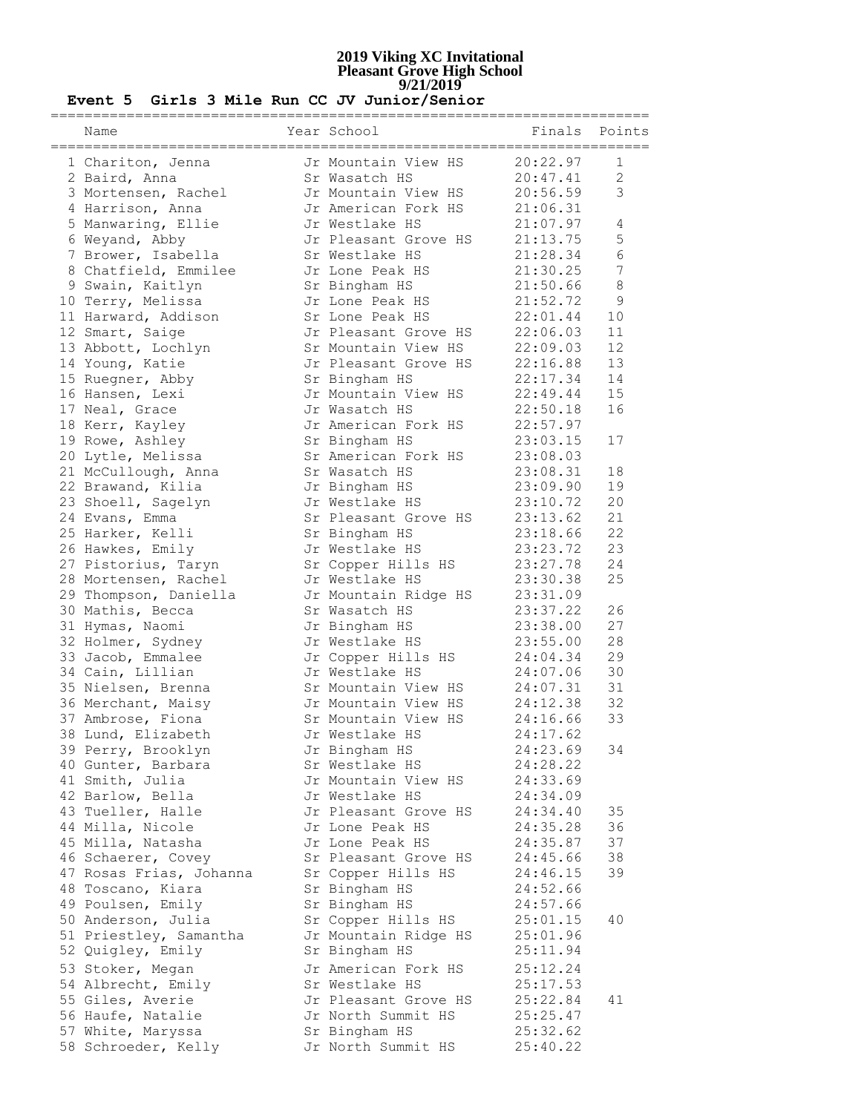| Name                                   | Year School                         | ============================<br>Finals Points<br>================ |                |
|----------------------------------------|-------------------------------------|-------------------------------------------------------------------|----------------|
| 1 Chariton, Jenna                      | Jr Mountain View HS                 | 20:22.97                                                          | 1              |
| 2 Baird, Anna                          | Sr Wasatch HS                       | 20:47.41                                                          | $\overline{2}$ |
| 3 Mortensen, Rachel                    | Jr Mountain View HS                 | 20:56.59                                                          | 3              |
| 4 Harrison, Anna                       | Jr American Fork HS                 | 21:06.31                                                          |                |
| 5 Manwaring, Ellie                     | Jr Westlake HS                      | 21:07.97                                                          | 4              |
| 6 Weyand, Abby                         | Jr Pleasant Grove HS                | 21:13.75                                                          | 5              |
| 7 Brower, Isabella                     | Sr Westlake HS                      | 21:28.34                                                          | 6              |
| 8 Chatfield, Emmilee                   | Jr Lone Peak HS                     | 21:30.25                                                          | 7              |
| 9 Swain, Kaitlyn                       | Sr Bingham HS                       | 21:50.66                                                          | 8              |
| 10 Terry, Melissa                      | Jr Lone Peak HS                     | 21:52.72                                                          | $\mathsf 9$    |
| 11 Harward, Addison                    | Sr Lone Peak HS                     | 22:01.44                                                          | 10             |
| 12 Smart, Saige                        | Jr Pleasant Grove HS                | 22:06.03                                                          | 11             |
| 13 Abbott, Lochlyn                     | Sr Mountain View HS                 | 22:09.03                                                          | 12             |
| 14 Young, Katie                        | Jr Pleasant Grove HS                | 22:16.88                                                          | 13             |
| 15 Ruegner, Abby                       | Sr Bingham HS                       | 22:17.34                                                          | 14             |
| 16 Hansen, Lexi                        | Jr Mountain View HS                 | 22:49.44                                                          | 15             |
| 17 Neal, Grace                         | Jr Wasatch HS                       | 22:50.18                                                          | 16             |
| 18 Kerr, Kayley                        | Jr American Fork HS                 | 22:57.97                                                          |                |
| 19 Rowe, Ashley                        | Sr Bingham HS                       | 23:03.15                                                          | 17             |
| 20 Lytle, Melissa                      | Sr American Fork HS                 | 23:08.03                                                          |                |
| 21 McCullough, Anna                    | Sr Wasatch HS                       | 23:08.31                                                          | 18             |
| 22 Brawand, Kilia                      | Jr Bingham HS<br>Jr Westlake HS     | 23:09.90                                                          | 19             |
| 23 Shoell, Sagelyn                     |                                     | 23:10.72                                                          | 20<br>21       |
| 24 Evans, Emma<br>25 Harker, Kelli     | Sr Pleasant Grove HS                | 23:13.62<br>23:18.66                                              | 22             |
| 26 Hawkes, Emily                       | Sr Bingham HS<br>Jr Westlake HS     | 23:23.72                                                          | 23             |
| 27 Pistorius, Taryn                    | Sr Copper Hills HS                  | 23:27.78                                                          | 24             |
| 28 Mortensen, Rachel                   | Jr Westlake HS                      | 23:30.38                                                          | 25             |
| 29 Thompson, Daniella                  | Jr Mountain Ridge HS                | 23:31.09                                                          |                |
| 30 Mathis, Becca                       | Sr Wasatch HS                       | 23:37.22                                                          | 26             |
| 31 Hymas, Naomi                        | Jr Bingham HS                       | 23:38.00                                                          | 27             |
| 32 Holmer, Sydney                      | Jr Westlake HS                      | 23:55.00                                                          | 28             |
| 33 Jacob, Emmalee                      | Jr Copper Hills HS                  | 24:04.34                                                          | 29             |
| 34 Cain, Lillian                       | Jr Westlake HS                      | 24:07.06                                                          | 30             |
| 35 Nielsen, Brenna                     | Sr Mountain View HS                 | 24:07.31                                                          | 31             |
| 36 Merchant, Maisy                     | Jr Mountain View HS                 | 24:12.38                                                          | 32             |
| 37 Ambrose, Fiona                      | Sr Mountain View HS                 | 24:16.66                                                          | 33             |
| 38 Lund, Elizabeth                     | Jr Westlake HS                      | 24:17.62                                                          |                |
| 39 Perry, Brooklyn                     | Jr Bingham HS                       | 24:23.69                                                          | 34             |
| 40 Gunter, Barbara                     | Sr Westlake HS                      | 24:28.22                                                          |                |
| 41 Smith, Julia                        | Jr Mountain View HS                 | 24:33.69                                                          |                |
| 42 Barlow, Bella                       | Jr Westlake HS                      | 24:34.09                                                          |                |
| 43 Tueller, Halle                      | Jr Pleasant Grove HS                | 24:34.40                                                          | 35             |
| 44 Milla, Nicole                       | Jr Lone Peak HS                     | 24:35.28                                                          | 36             |
| 45 Milla, Natasha                      | Jr Lone Peak HS                     | 24:35.87                                                          | 37             |
| 46 Schaerer, Covey                     | Sr Pleasant Grove HS                | 24:45.66                                                          | 38             |
| 47 Rosas Frias, Johanna                | Sr Copper Hills HS                  | 24:46.15                                                          | 39             |
| 48 Toscano, Kiara                      | Sr Bingham HS                       | 24:52.66                                                          |                |
| 49 Poulsen, Emily                      | Sr Bingham HS                       | 24:57.66                                                          |                |
| 50 Anderson, Julia                     | Sr Copper Hills HS                  | 25:01.15                                                          | 40             |
| 51 Priestley, Samantha                 | Jr Mountain Ridge HS                | 25:01.96                                                          |                |
| 52 Quigley, Emily                      | Sr Bingham HS                       | 25:11.94                                                          |                |
| 53 Stoker, Megan                       | Jr American Fork HS                 | 25:12.24                                                          |                |
| 54 Albrecht, Emily                     | Sr Westlake HS                      | 25:17.53                                                          |                |
| 55 Giles, Averie                       | Jr Pleasant Grove HS                | 25:22.84                                                          | 41             |
| 56 Haufe, Natalie<br>57 White, Maryssa | Jr North Summit HS<br>Sr Bingham HS | 25:25.47<br>25:32.62                                              |                |
| 58 Schroeder, Kelly                    | Jr North Summit HS                  | 25:40.22                                                          |                |
|                                        |                                     |                                                                   |                |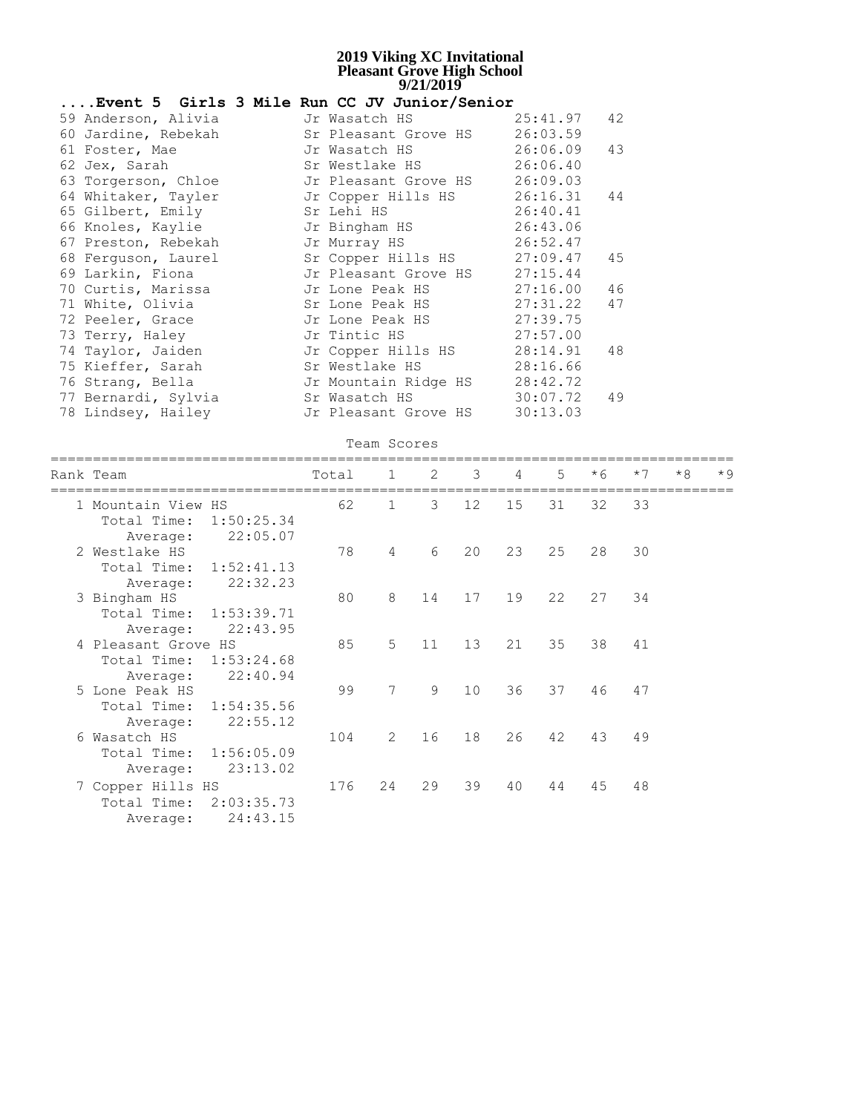|                     | Event 5 Girls 3 Mile Run CC JV Junior/Senior |               |    |
|---------------------|----------------------------------------------|---------------|----|
| 59 Anderson, Alivia | Jr Wasatch HS                                | $25:41.97$ 42 |    |
| 60 Jardine, Rebekah | Sr Pleasant Grove HS 26:03.59                |               |    |
| 61 Foster, Mae      |                                              |               |    |
| 62 Jex, Sarah       | Sr Westlake HS 26:06.40                      |               |    |
| 63 Torgerson, Chloe | Jr Pleasant Grove HS 26:09.03                |               |    |
| 64 Whitaker, Tayler | Jr Copper Hills HS 26:16.31 44               |               |    |
| 65 Gilbert, Emily   | Sr Lehi HS                                   | 26:40.41      |    |
| 66 Knoles, Kaylie   | Jr Bingham HS 26:43.06                       |               |    |
| 67 Preston, Rebekah | Jr Murray HS                                 | 26:52.47      |    |
| 68 Ferquson, Laurel | Sr Copper Hills HS 27:09.47 45               |               |    |
| 69 Larkin, Fiona    | Jr Pleasant Grove HS 27:15.44                |               |    |
| 70 Curtis, Marissa  | Jr Lone Peak HS 27:16.00 46                  |               |    |
| 71 White, Olivia    | Sr Lone Peak HS                              | 27:31.22      | 47 |
| 72 Peeler, Grace    | Jr Lone Peak HS                              | 27:39.75      |    |
| 73 Terry, Haley     | Jr Tintic HS 27:57.00                        |               |    |
| 74 Taylor, Jaiden   | Jr Copper Hills HS 28:14.91                  |               | 48 |
| 75 Kieffer, Sarah   | Sr Westlake HS                               | 28:16.66      |    |
| 76 Strang, Bella    | Jr Mountain Ridge HS 28:42.72                |               |    |
| 77 Bernardi, Sylvia | Sr Wasatch HS                                | 30:07.72      | 49 |
| 78 Lindsey, Hailey  | Jr Pleasant Grove HS                         | 30:13.03      |    |

|             |                                                                                                         | Total                                                                                                                                                                                                            | $\mathbf{1}$   | 2  | $\mathcal{E}$     | 4  | 5        | $*6$ | $*7$ | $*8$ | $*9$ |
|-------------|---------------------------------------------------------------------------------------------------------|------------------------------------------------------------------------------------------------------------------------------------------------------------------------------------------------------------------|----------------|----|-------------------|----|----------|------|------|------|------|
|             |                                                                                                         | 62                                                                                                                                                                                                               | $\mathbf{1}$   | 3  | 12 <sup>°</sup>   | 15 | 31       | 32   | 33   |      |      |
|             |                                                                                                         |                                                                                                                                                                                                                  |                |    |                   |    |          |      |      |      |      |
|             |                                                                                                         | 78                                                                                                                                                                                                               | 4              | 6  | 20                | 23 | 25       | 28   | 30   |      |      |
| Total Time: |                                                                                                         |                                                                                                                                                                                                                  |                |    |                   |    |          |      |      |      |      |
| Average:    | 22:32.23                                                                                                |                                                                                                                                                                                                                  |                |    |                   |    |          |      |      |      |      |
|             |                                                                                                         | 80                                                                                                                                                                                                               | 8              | 14 |                   | 19 | 22       | 27   | 34   |      |      |
|             |                                                                                                         |                                                                                                                                                                                                                  |                |    |                   |    |          |      |      |      |      |
| Average:    |                                                                                                         |                                                                                                                                                                                                                  |                |    |                   |    |          |      |      |      |      |
|             |                                                                                                         | 85                                                                                                                                                                                                               |                |    | 13                |    |          | 38   | 41   |      |      |
|             |                                                                                                         |                                                                                                                                                                                                                  |                |    |                   |    |          |      |      |      |      |
| Average:    | 22:40.94                                                                                                |                                                                                                                                                                                                                  |                |    |                   |    |          |      |      |      |      |
|             |                                                                                                         | 99                                                                                                                                                                                                               | 7              | 9  | 10                | 36 | 37       | 46   | 47   |      |      |
| Total Time: |                                                                                                         |                                                                                                                                                                                                                  |                |    |                   |    |          |      |      |      |      |
| Average:    | 22:55.12                                                                                                |                                                                                                                                                                                                                  |                |    |                   |    |          |      |      |      |      |
|             |                                                                                                         | 104                                                                                                                                                                                                              | $\overline{2}$ | 16 | 18                | 26 | 42       | 43   | 49   |      |      |
| Total Time: |                                                                                                         |                                                                                                                                                                                                                  |                |    |                   |    |          |      |      |      |      |
| Average:    | 23:13.02                                                                                                |                                                                                                                                                                                                                  |                |    |                   |    |          |      |      |      |      |
|             |                                                                                                         | 176                                                                                                                                                                                                              | 24             | 29 | 39                | 40 | 44       | 45   | 48   |      |      |
| Total Time: |                                                                                                         |                                                                                                                                                                                                                  |                |    |                   |    |          |      |      |      |      |
| Average:    | 24:43.15                                                                                                |                                                                                                                                                                                                                  |                |    |                   |    |          |      |      |      |      |
|             | Rank Team<br>Total Time:<br>Average:<br>2 Westlake HS<br>3 Bingham HS<br>5 Lone Peak HS<br>6 Wasatch HS | 1 Mountain View HS<br>1:50:25.34<br>22:05.07<br>1:52:41.13<br>Total Time: 1:53:39.71<br>22:43.95<br>4 Pleasant Grove HS<br>Total Time: 1:53:24.68<br>1:54:35.56<br>1:56:05.09<br>7 Copper Hills HS<br>2:03:35.73 |                | 5  | Team Scores<br>11 |    | 17<br>21 | 35   |      |      |      |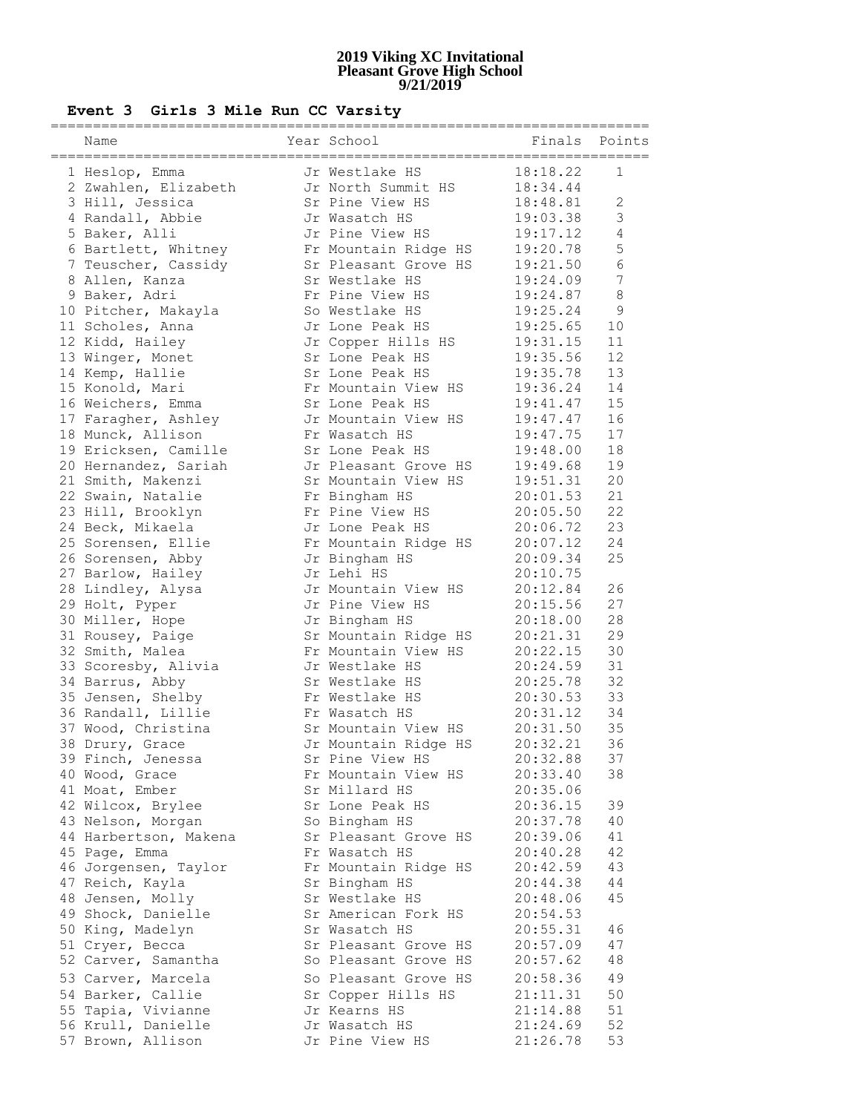### **Event 3 Girls 3 Mile Run CC Varsity**

| Name<br>================================= | Year School<br>:================================ | Finals Points |                |
|-------------------------------------------|--------------------------------------------------|---------------|----------------|
| 1 Heslop, Emma                            | Jr Westlake HS                                   | 18:18.22      | $\mathbf 1$    |
| 2 Zwahlen, Elizabeth                      | Jr North Summit HS                               | 18:34.44      |                |
| 3 Hill, Jessica                           | Sr Pine View HS                                  | 18:48.81      | $\sqrt{2}$     |
| 4 Randall, Abbie                          | Jr Wasatch HS                                    | 19:03.38      | 3              |
| 5 Baker, Alli                             | Jr Pine View HS                                  | 19:17.12      | $\sqrt{4}$     |
| 6 Bartlett, Whitney                       | Fr Mountain Ridge HS                             | 19:20.78      | 5              |
| 7 Teuscher, Cassidy                       | Sr Pleasant Grove HS                             | 19:21.50      | $6\phantom{1}$ |
| 8 Allen, Kanza                            | Sr Westlake HS                                   | 19:24.09      | $\overline{7}$ |
| 9 Baker, Adri                             | Fr Pine View HS                                  | 19:24.87      | $\,8\,$        |
| 10 Pitcher, Makayla                       | So Westlake HS                                   | 19:25.24      | $\overline{9}$ |
| 11 Scholes, Anna                          | Jr Lone Peak HS                                  | 19:25.65      | 10             |
| 12 Kidd, Hailey                           | Jr Copper Hills HS                               | 19:31.15      | 11             |
| 13 Winger, Monet                          | Sr Lone Peak HS                                  | 19:35.56      | 12             |
| 14 Kemp, Hallie                           | Sr Lone Peak HS                                  | 19:35.78      | 13             |
| 15 Konold, Mari                           | Fr Mountain View HS                              | 19:36.24      | 14             |
| 16 Weichers, Emma                         | Sr Lone Peak HS                                  | 19:41.47      | 15             |
| 17 Faragher, Ashley                       | Jr Mountain View HS                              | 19:47.47      | 16             |
| 18 Munck, Allison                         | Fr Wasatch HS                                    | 19:47.75      | 17             |
| 19 Ericksen, Camille                      | Sr Lone Peak HS                                  | 19:48.00      | 18             |
| 20 Hernandez, Sariah                      | Jr Pleasant Grove HS                             | 19:49.68      | 19             |
| 21 Smith, Makenzi                         | Sr Mountain View HS                              | 19:51.31      | 20             |
| 22 Swain, Natalie                         | Fr Bingham HS                                    | 20:01.53      | 21             |
| 23 Hill, Brooklyn                         | Fr Pine View HS                                  | 20:05.50      | 22             |
| 24 Beck, Mikaela                          | Jr Lone Peak HS                                  | 20:06.72      | 23             |
| 25 Sorensen, Ellie                        | Fr Mountain Ridge HS                             | 20:07.12      | 24             |
| 26 Sorensen, Abby                         | Jr Bingham HS                                    | 20:09.34      | 25             |
| 27 Barlow, Hailey                         | Jr Lehi HS                                       | 20:10.75      |                |
| 28 Lindley, Alysa                         | Jr Mountain View HS                              | 20:12.84      | 26             |
| 29 Holt, Pyper                            | Jr Pine View HS                                  | 20:15.56      | 27             |
| 30 Miller, Hope                           | Jr Bingham HS                                    | 20:18.00      | 28             |
| 31 Rousey, Paige                          | Sr Mountain Ridge HS                             | 20:21.31      | 29             |
| 32 Smith, Malea                           | Fr Mountain View HS                              | 20:22.15      | 30             |
| 33 Scoresby, Alivia                       | Jr Westlake HS                                   | 20:24.59      | 31             |
| 34 Barrus, Abby                           | Sr Westlake HS                                   | 20:25.78      | 32             |
| 35 Jensen, Shelby                         | Fr Westlake HS                                   | 20:30.53      | 33             |
| 36 Randall, Lillie                        | Fr Wasatch HS                                    | 20:31.12      | 34             |
| 37 Wood, Christina                        | Sr Mountain View HS                              | 20:31.50      | 35             |
| 38 Drury, Grace                           | Jr Mountain Ridge HS                             | 20:32.21      | 36             |
| 39 Finch, Jenessa                         | Sr Pine View HS                                  | 20:32.88      | 37             |
| 40 Wood, Grace                            | Fr Mountain View HS                              | 20:33.40      | 38             |
| 41 Moat, Ember                            | Sr Millard HS                                    | 20:35.06      |                |
| 42 Wilcox, Brylee                         | Sr Lone Peak HS                                  | 20:36.15      | 39             |
| 43 Nelson, Morgan                         | So Bingham HS                                    | 20:37.78      | 40             |
| 44 Harbertson, Makena                     | Sr Pleasant Grove HS                             | 20:39.06      | 41             |
| 45 Page, Emma                             | Fr Wasatch HS                                    | 20:40.28      | 42             |
| 46 Jorgensen, Taylor                      | Fr Mountain Ridge HS                             | 20:42.59      | 43             |
| 47 Reich, Kayla                           | Sr Bingham HS                                    | 20:44.38      | 44             |
| 48 Jensen, Molly                          | Sr Westlake HS                                   | 20:48.06      | 45             |
| 49 Shock, Danielle                        | Sr American Fork HS                              | 20:54.53      |                |
| 50 King, Madelyn                          | Sr Wasatch HS                                    | 20:55.31      | 46             |
| 51 Cryer, Becca                           | Sr Pleasant Grove HS                             | 20:57.09      | 47             |
| 52 Carver, Samantha                       | So Pleasant Grove HS                             | 20:57.62      | 48             |
| 53 Carver, Marcela                        | So Pleasant Grove HS                             | 20:58.36      | 49             |
| 54 Barker, Callie                         | Sr Copper Hills HS                               | 21:11.31      | 50             |
| 55 Tapia, Vivianne                        | Jr Kearns HS                                     | 21:14.88      | 51             |
| 56 Krull, Danielle                        | Jr Wasatch HS                                    | 21:24.69      | 52             |
| 57 Brown, Allison                         | Jr Pine View HS                                  | 21:26.78      | 53             |
|                                           |                                                  |               |                |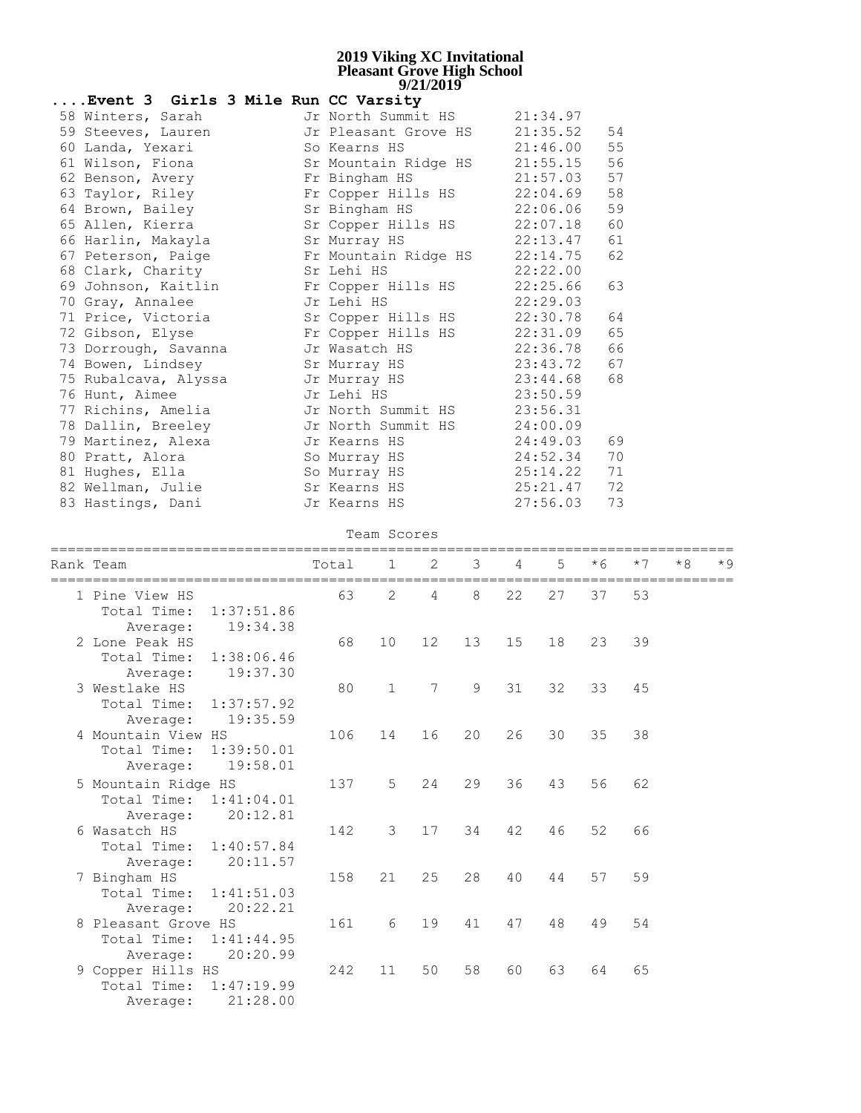| Event 3 Girls 3 Mile Run CC Varsity |                      |          |    |
|-------------------------------------|----------------------|----------|----|
| 58 Winters, Sarah                   | Jr North Summit HS   | 21:34.97 |    |
| 59 Steeves, Lauren                  | Jr Pleasant Grove HS | 21:35.52 | 54 |
| 60 Landa, Yexari                    | So Kearns HS         | 21:46.00 | 55 |
| 61 Wilson, Fiona                    | Sr Mountain Ridge HS | 21:55.15 | 56 |
| 62 Benson, Avery                    | Fr Bingham HS        | 21:57.03 | 57 |
| 63 Taylor, Riley                    | Fr Copper Hills HS   | 22:04.69 | 58 |
| 64 Brown, Bailey                    | Sr Bingham HS        | 22:06.06 | 59 |
| 65 Allen, Kierra                    | Sr Copper Hills HS   | 22:07.18 | 60 |
| 66 Harlin, Makayla                  | Sr Murray HS         | 22:13.47 | 61 |
| 67 Peterson, Paige                  | Fr Mountain Ridge HS | 22:14.75 | 62 |
| 68 Clark, Charity                   | Sr Lehi HS           | 22:22.00 |    |
| 69 Johnson, Kaitlin                 | Fr Copper Hills HS   | 22:25.66 | 63 |
| 70 Gray, Annalee                    | Jr Lehi HS           | 22:29.03 |    |
| 71 Price, Victoria                  | Sr Copper Hills HS   | 22:30.78 | 64 |
| 72 Gibson, Elyse                    | Fr Copper Hills HS   | 22:31.09 | 65 |
| 73 Dorrough, Savanna                | Jr Wasatch HS        | 22:36.78 | 66 |
| 74 Bowen, Lindsey                   | Sr Murray HS         | 23:43.72 | 67 |
| 75 Rubalcava, Alyssa                | Jr Murray HS         | 23:44.68 | 68 |
| 76 Hunt, Aimee                      | Jr Lehi HS           | 23:50.59 |    |
| 77 Richins, Amelia                  | Jr North Summit HS   | 23:56.31 |    |
| 78 Dallin, Breeley                  | Jr North Summit HS   | 24:00.09 |    |
| 79 Martinez, Alexa                  | Jr Kearns HS         | 24:49.03 | 69 |
| 80 Pratt, Alora                     | So Murray HS         | 24:52.34 | 70 |
| 81 Hughes, Ella                     | So Murray HS         | 25:14.22 | 71 |
| 82 Wellman, Julie                   | Sr Kearns HS         | 25:21.47 | 72 |
| 83 Hastings, Dani                   | Jr Kearns HS         | 27:56.03 | 73 |

Team Scores

| Rank Team                 | Total<br>=============== | $\mathbf{1}$   | 2               | 3  | 4  | $5^{\circ}$ | $*6$<br>==================== | $*7$ | $*8$ | $\star$ 9 |
|---------------------------|--------------------------|----------------|-----------------|----|----|-------------|------------------------------|------|------|-----------|
| 1 Pine View HS            | 63                       | 2              | 4               | 8  | 22 | 27          | 37                           | 53   |      |           |
| Total Time:<br>1:37:51.86 |                          |                |                 |    |    |             |                              |      |      |           |
| 19:34.38<br>Average:      |                          |                |                 |    |    |             |                              |      |      |           |
| 2 Lone Peak HS            | 68                       | 10             | 12              | 13 | 15 | 18          | 23                           | 39   |      |           |
| Total Time:<br>1:38:06.46 |                          |                |                 |    |    |             |                              |      |      |           |
| 19:37.30<br>Average:      |                          |                |                 |    |    |             |                              |      |      |           |
| 3 Westlake HS             | 80                       | $\mathbf{1}$   | $7\overline{ }$ | 9  | 31 | 32          | 33                           | 45   |      |           |
| Total Time: 1:37:57.92    |                          |                |                 |    |    |             |                              |      |      |           |
| 19:35.59<br>Average:      |                          |                |                 |    |    |             |                              |      |      |           |
| 4 Mountain View HS        | 106                      | 14             | 16              | 20 | 26 | 30          | 35                           | 38   |      |           |
| Total Time:<br>1:39:50.01 |                          |                |                 |    |    |             |                              |      |      |           |
| 19:58.01<br>Average:      |                          |                |                 |    |    |             |                              |      |      |           |
| 5 Mountain Ridge HS       | 137                      | 5 <sup>5</sup> | 24              | 29 | 36 | 43          | 56                           | 62   |      |           |
| Total Time: 1:41:04.01    |                          |                |                 |    |    |             |                              |      |      |           |
| 20:12.81<br>Average:      |                          |                |                 |    |    |             |                              |      |      |           |
| 6 Wasatch HS              | 142                      | 3              | 17              | 34 | 42 | 46          | 52                           | 66   |      |           |
| Total Time: 1:40:57.84    |                          |                |                 |    |    |             |                              |      |      |           |
| 20:11.57<br>Average:      |                          |                |                 |    |    |             |                              |      |      |           |
| 7 Bingham HS              | 158                      | 21             | 25              | 28 | 40 | 44          | 57                           | 59   |      |           |
| Total Time: 1:41:51.03    |                          |                |                 |    |    |             |                              |      |      |           |
| 20:22.21<br>Average:      |                          |                |                 |    |    |             |                              |      |      |           |
| 8 Pleasant Grove HS       | 161                      | 6              | 19              | 41 | 47 | 48          | 49                           | 54   |      |           |
| Total Time: 1:41:44.95    |                          |                |                 |    |    |             |                              |      |      |           |
| 20:20.99<br>Average:      |                          |                |                 |    |    |             |                              |      |      |           |
| 9 Copper Hills HS         | 242                      | 11             | 50              | 58 | 60 | 63          | 64                           | 65   |      |           |
| Total Time: 1:47:19.99    |                          |                |                 |    |    |             |                              |      |      |           |
| 21:28.00<br>Average:      |                          |                |                 |    |    |             |                              |      |      |           |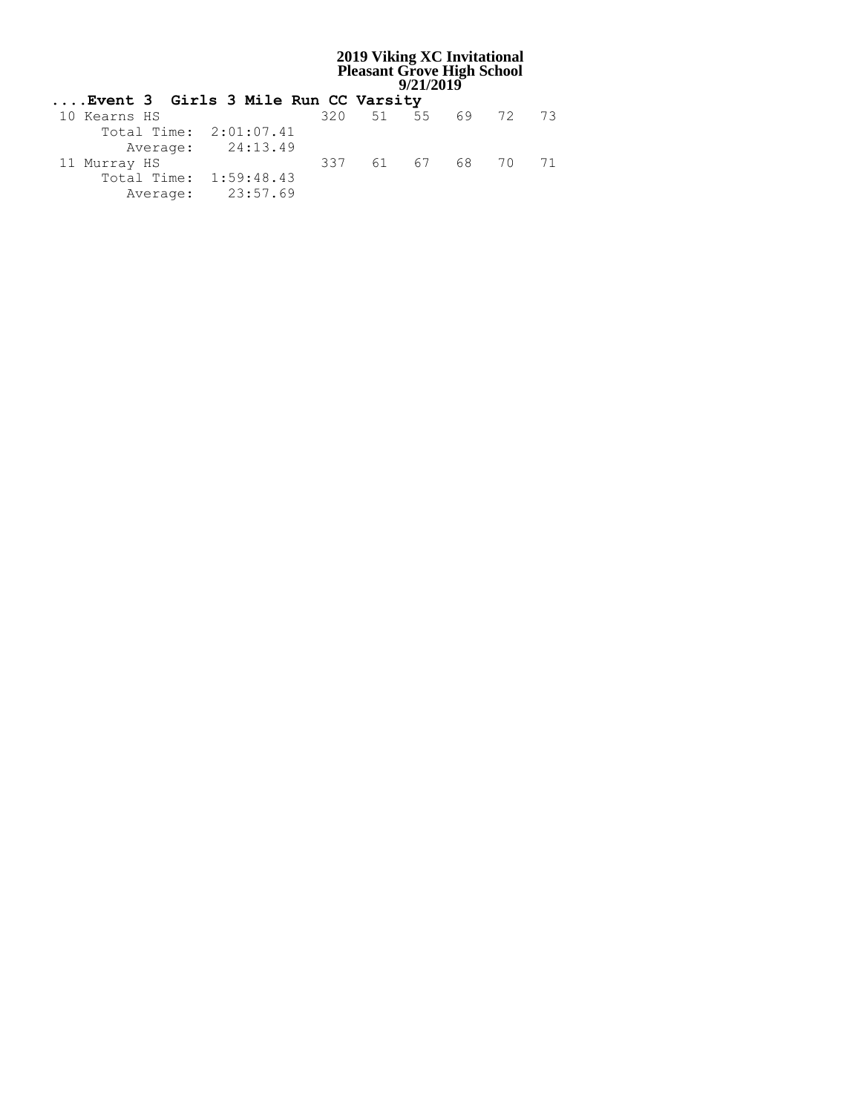| Event 3 Girls 3 Mile Run CC Varsity |                   |                    |  |  |
|-------------------------------------|-------------------|--------------------|--|--|
| 10 Kearns HS                        |                   | 320 51 55 69 72 73 |  |  |
| Total Time: 2:01:07.41              |                   |                    |  |  |
|                                     | Average: 24:13.49 |                    |  |  |
| 11 Murray HS                        |                   | 337 61 67 68 70 71 |  |  |
| Total Time: 1:59:48.43              |                   |                    |  |  |
|                                     | Average: 23:57.69 |                    |  |  |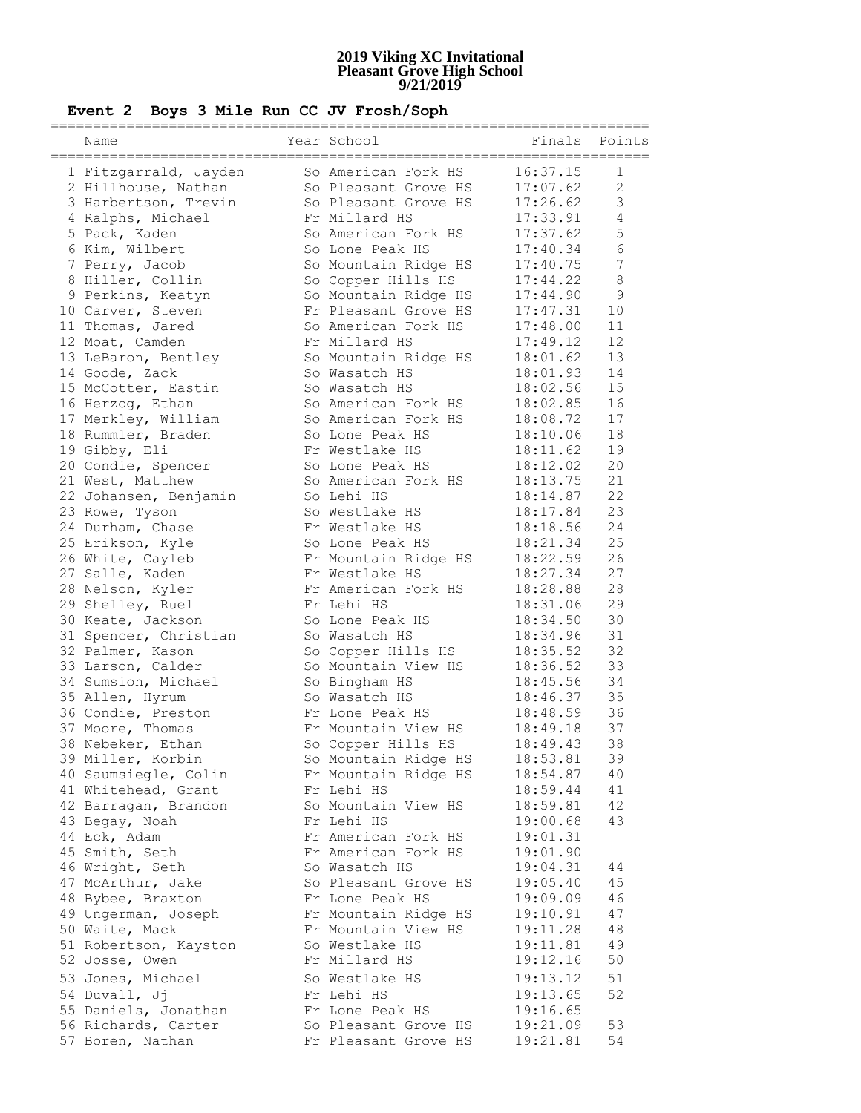# **Event 2 Boys 3 Mile Run CC JV Frosh/Soph**

| Name                                   | Year School                            | Finals Points                   |                |
|----------------------------------------|----------------------------------------|---------------------------------|----------------|
| 1 Fitzgarrald, Jayden                  | So American Fork HS                    | $=$ $=$ $=$ $=$ $=$<br>16:37.15 | 1              |
| 2 Hillhouse, Nathan                    | So Pleasant Grove HS                   | 17:07.62                        | 2              |
| 3 Harbertson, Trevin                   | So Pleasant Grove HS                   | 17:26.62                        | $\mathfrak{Z}$ |
| 4 Ralphs, Michael                      | Fr Millard HS                          | 17:33.91                        | $\overline{4}$ |
| 5 Pack, Kaden                          | So American Fork HS                    | 17:37.62                        | 5              |
| 6 Kim, Wilbert                         | So Lone Peak HS                        | 17:40.34                        | $\epsilon$     |
| 7 Perry, Jacob                         | So Mountain Ridge HS                   | 17:40.75                        | 7              |
| 8 Hiller, Collin                       | So Copper Hills HS                     | 17:44.22                        | $8\,$          |
| 9 Perkins, Keatyn                      | So Mountain Ridge HS                   | 17:44.90                        | $\overline{9}$ |
| 10 Carver, Steven                      | Fr Pleasant Grove HS                   | 17:47.31                        | 10             |
| 11 Thomas, Jared                       | So American Fork HS                    | 17:48.00                        | 11             |
| 12 Moat, Camden                        | Fr Millard HS                          | 17:49.12                        | 12             |
| 13 LeBaron, Bentley                    | So Mountain Ridge HS                   | 18:01.62                        | 13             |
| 14 Goode, Zack                         | So Wasatch HS                          | 18:01.93                        | 14             |
| 15 McCotter, Eastin                    | So Wasatch HS                          | 18:02.56                        | 15             |
| 16 Herzog, Ethan                       | So American Fork HS                    | 18:02.85                        | 16             |
| 17 Merkley, William                    | So American Fork HS                    | 18:08.72                        | 17             |
| 18 Rummler, Braden                     | So Lone Peak HS                        | 18:10.06                        | 18             |
| 19 Gibby, Eli                          | Fr Westlake HS                         | 18:11.62                        | 19             |
| 20 Condie, Spencer<br>21 West, Matthew | So Lone Peak HS<br>So American Fork HS | 18:12.02<br>18:13.75            | 20<br>21       |
| 22 Johansen, Benjamin                  | So Lehi HS                             | 18:14.87                        | 22             |
| 23 Rowe, Tyson                         | So Westlake HS                         | 18:17.84                        | 23             |
| 24 Durham, Chase                       | Fr Westlake HS                         | 18:18.56                        | 24             |
| 25 Erikson, Kyle                       | So Lone Peak HS                        | 18:21.34                        | 25             |
| 26 White, Cayleb                       | Fr Mountain Ridge HS                   | 18:22.59                        | 26             |
| 27 Salle, Kaden                        | Fr Westlake HS                         | 18:27.34                        | 27             |
| 28 Nelson, Kyler                       | Fr American Fork HS                    | 18:28.88                        | 28             |
| 29 Shelley, Ruel                       | Fr Lehi HS                             | 18:31.06                        | 29             |
| 30 Keate, Jackson                      | So Lone Peak HS                        | 18:34.50                        | 30             |
| 31 Spencer, Christian                  | So Wasatch HS                          | 18:34.96                        | 31             |
| 32 Palmer, Kason                       | So Copper Hills HS                     | 18:35.52                        | 32             |
| 33 Larson, Calder                      | So Mountain View HS                    | 18:36.52                        | 33             |
| 34 Sumsion, Michael                    | So Bingham HS                          | 18:45.56                        | 34             |
| 35 Allen, Hyrum                        | So Wasatch HS                          | 18:46.37                        | 35             |
| 36 Condie, Preston                     | Fr Lone Peak HS                        | 18:48.59                        | 36             |
| 37 Moore, Thomas                       | Fr Mountain View HS                    | 18:49.18                        | 37             |
| 38 Nebeker, Ethan                      | So Copper Hills HS                     | 18:49.43                        | 38             |
| 39 Miller, Korbin                      | So Mountain Ridge HS                   | 18:53.81                        | 39             |
| 40 Saumsiegle, Colin                   | Fr Mountain Ridge HS                   | 18:54.87                        | 40             |
| 41 Whitehead, Grant                    | Fr Lehi HS                             | 18:59.44                        | 41             |
| 42 Barragan, Brandon                   | So Mountain View HS                    | 18:59.81                        | 42             |
| 43 Begay, Noah                         | Fr Lehi HS                             | 19:00.68                        | 43             |
| 44 Eck, Adam                           | Fr American Fork HS                    | 19:01.31                        |                |
| 45 Smith, Seth                         | Fr American Fork HS                    | 19:01.90                        |                |
| 46 Wright, Seth                        | So Wasatch HS                          | 19:04.31                        | 44             |
| 47 McArthur, Jake                      | So Pleasant Grove HS                   | 19:05.40                        | 45             |
| 48 Bybee, Braxton                      | Fr Lone Peak HS                        | 19:09.09                        | 46             |
| 49 Ungerman, Joseph                    | Fr Mountain Ridge HS                   | 19:10.91                        | 47             |
| 50 Waite, Mack                         | Fr Mountain View HS                    | 19:11.28                        | 48             |
| 51 Robertson, Kayston                  | So Westlake HS<br>Fr Millard HS        | 19:11.81                        | 49<br>50       |
| 52 Josse, Owen                         |                                        | 19:12.16                        |                |
| 53 Jones, Michael                      | So Westlake HS                         | 19:13.12                        | 51             |
| 54 Duvall, Jj                          | Fr Lehi HS                             | 19:13.65                        | 52             |
| 55 Daniels, Jonathan                   | Fr Lone Peak HS                        | 19:16.65                        |                |
| 56 Richards, Carter                    | So Pleasant Grove HS                   | 19:21.09                        | 53<br>54       |
| 57 Boren, Nathan                       | Fr Pleasant Grove HS                   | 19:21.81                        |                |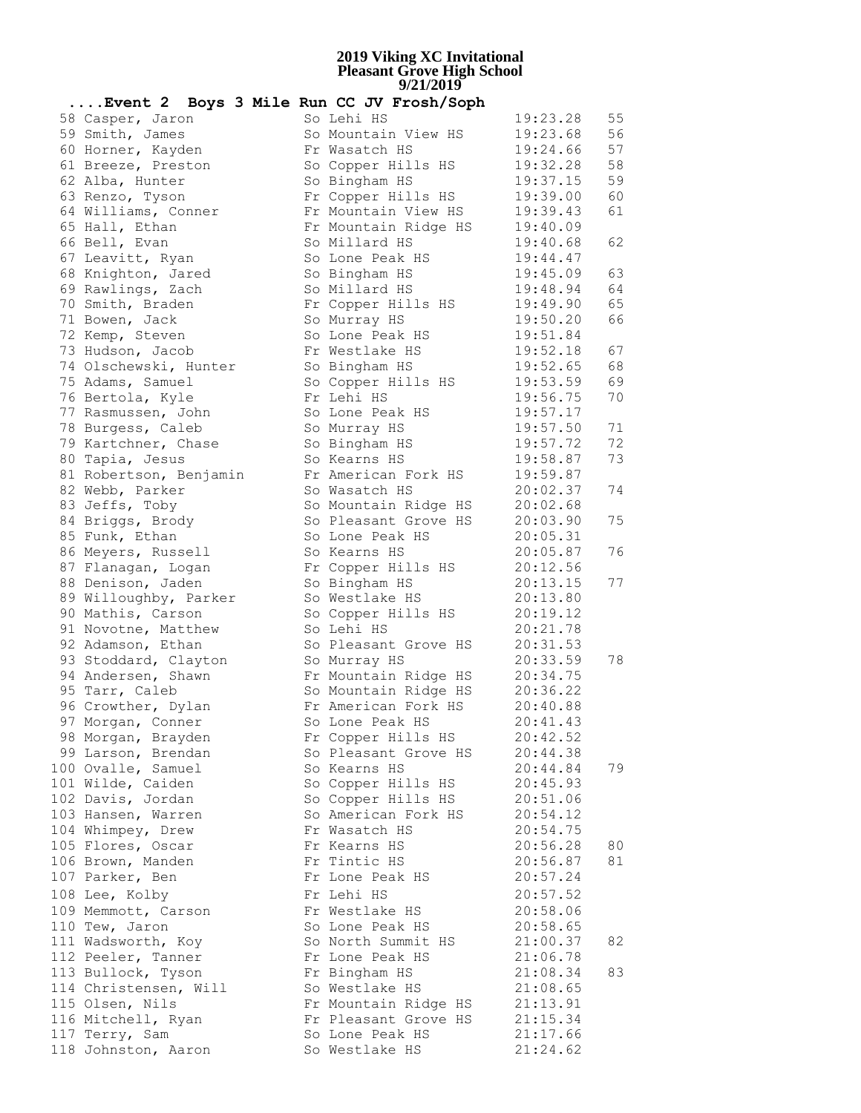| Event 2 Boys 3 Mile Run CC JV Frosh/Soph |                      |          |    |
|------------------------------------------|----------------------|----------|----|
| 58 Casper, Jaron                         | So Lehi HS           | 19:23.28 | 55 |
| 59 Smith, James                          | So Mountain View HS  | 19:23.68 | 56 |
| 60 Horner, Kayden                        | Fr Wasatch HS        | 19:24.66 | 57 |
| 61 Breeze, Preston                       | So Copper Hills HS   | 19:32.28 | 58 |
| 62 Alba, Hunter                          | So Bingham HS        | 19:37.15 | 59 |
| 63 Renzo, Tyson                          | Fr Copper Hills HS   | 19:39.00 | 60 |
| 64 Williams, Conner                      | Fr Mountain View HS  | 19:39.43 | 61 |
| 65 Hall, Ethan                           | Fr Mountain Ridge HS | 19:40.09 |    |
| 66 Bell, Evan                            | So Millard HS        | 19:40.68 | 62 |
| 67 Leavitt, Ryan                         | So Lone Peak HS      | 19:44.47 |    |
| 68 Knighton, Jared                       | So Bingham HS        | 19:45.09 | 63 |
| 69 Rawlings, Zach                        | So Millard HS        | 19:48.94 | 64 |
| 70 Smith, Braden                         | Fr Copper Hills HS   | 19:49.90 | 65 |
| 71 Bowen, Jack                           | So Murray HS         | 19:50.20 | 66 |
| 72 Kemp, Steven                          | So Lone Peak HS      | 19:51.84 |    |
| 73 Hudson, Jacob                         | Fr Westlake HS       | 19:52.18 | 67 |
| 74 Olschewski, Hunter                    | So Bingham HS        | 19:52.65 | 68 |
| 75 Adams, Samuel                         | So Copper Hills HS   | 19:53.59 | 69 |
| 76 Bertola, Kyle                         | Fr Lehi HS           | 19:56.75 | 70 |
| 77 Rasmussen, John                       | So Lone Peak HS      | 19:57.17 |    |
| 78 Burgess, Caleb                        | So Murray HS         | 19:57.50 | 71 |
| 79 Kartchner, Chase                      | So Bingham HS        | 19:57.72 | 72 |
| 80 Tapia, Jesus                          | So Kearns HS         | 19:58.87 | 73 |
| 81 Robertson, Benjamin                   | Fr American Fork HS  | 19:59.87 |    |
| 82 Webb, Parker                          | So Wasatch HS        | 20:02.37 | 74 |
| 83 Jeffs, Toby                           | So Mountain Ridge HS | 20:02.68 |    |
| 84 Briggs, Brody                         | So Pleasant Grove HS | 20:03.90 | 75 |
| 85 Funk, Ethan                           | So Lone Peak HS      | 20:05.31 |    |
| 86 Meyers, Russell                       | So Kearns HS         | 20:05.87 | 76 |
| 87 Flanagan, Logan                       | Fr Copper Hills HS   | 20:12.56 |    |
| 88 Denison, Jaden                        | So Bingham HS        | 20:13.15 | 77 |
| 89 Willoughby, Parker                    | So Westlake HS       | 20:13.80 |    |
| 90 Mathis, Carson                        | So Copper Hills HS   | 20:19.12 |    |
| 91 Novotne, Matthew                      | So Lehi HS           | 20:21.78 |    |
| 92 Adamson, Ethan                        | So Pleasant Grove HS | 20:31.53 |    |
| 93 Stoddard, Clayton                     | So Murray HS         | 20:33.59 | 78 |
| 94 Andersen, Shawn                       | Fr Mountain Ridge HS | 20:34.75 |    |
| 95 Tarr, Caleb                           | So Mountain Ridge HS | 20:36.22 |    |
| 96 Crowther, Dylan                       | Fr American Fork HS  | 20:40.88 |    |
| 97 Morgan, Conner                        | So Lone Peak HS      | 20:41.43 |    |
| 98 Morgan, Brayden                       | Fr Copper Hills HS   | 20:42.52 |    |
| 99 Larson, Brendan                       | So Pleasant Grove HS | 20:44.38 |    |
| 100 Ovalle, Samuel                       | So Kearns HS         | 20:44.84 | 79 |
| 101 Wilde, Caiden                        | So Copper Hills HS   | 20:45.93 |    |
| 102 Davis, Jordan                        | So Copper Hills HS   | 20:51.06 |    |
| 103 Hansen, Warren                       | So American Fork HS  | 20:54.12 |    |
| 104 Whimpey, Drew                        | Fr Wasatch HS        | 20:54.75 |    |
| 105 Flores, Oscar                        | Fr Kearns HS         | 20:56.28 | 80 |
| 106 Brown, Manden                        | Fr Tintic HS         | 20:56.87 | 81 |
| 107 Parker, Ben                          | Fr Lone Peak HS      | 20:57.24 |    |
| 108 Lee, Kolby                           | Fr Lehi HS           | 20:57.52 |    |
| 109 Memmott, Carson                      | Fr Westlake HS       | 20:58.06 |    |
| 110 Tew, Jaron                           | So Lone Peak HS      | 20:58.65 |    |
| 111 Wadsworth, Koy                       | So North Summit HS   | 21:00.37 | 82 |
| 112 Peeler, Tanner                       | Fr Lone Peak HS      | 21:06.78 |    |
| 113 Bullock, Tyson                       | Fr Bingham HS        | 21:08.34 | 83 |
| 114 Christensen, Will                    | So Westlake HS       | 21:08.65 |    |
| 115 Olsen, Nils                          | Fr Mountain Ridge HS | 21:13.91 |    |
| 116 Mitchell, Ryan                       | Fr Pleasant Grove HS | 21:15.34 |    |
| 117 Terry, Sam                           | So Lone Peak HS      | 21:17.66 |    |
| 118 Johnston, Aaron                      | So Westlake HS       | 21:24.62 |    |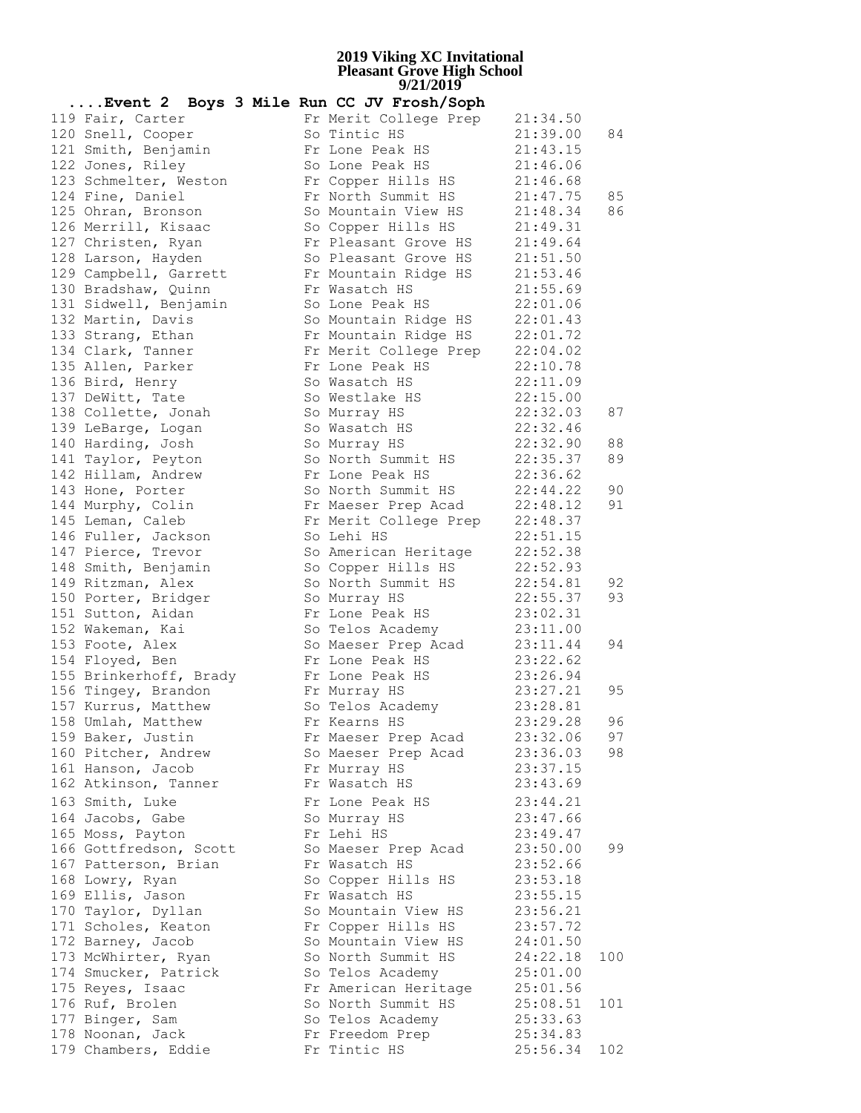| Event 2 Boys 3 Mile Run CC JV Frosh/Soph |                                |          |     |
|------------------------------------------|--------------------------------|----------|-----|
| 119 Fair, Carter                         | Fr Merit College Prep          | 21:34.50 |     |
| 120 Snell, Cooper                        | So Tintic HS                   | 21:39.00 | 84  |
| 121 Smith, Benjamin                      | Fr Lone Peak HS                | 21:43.15 |     |
| 122 Jones, Riley                         | So Lone Peak HS                | 21:46.06 |     |
| 123 Schmelter, Weston                    | Fr Copper Hills HS             | 21:46.68 |     |
| 124 Fine, Daniel                         | Fr North Summit HS             | 21:47.75 | 85  |
| 125 Ohran, Bronson                       | So Mountain View HS            | 21:48.34 | 86  |
| 126 Merrill, Kisaac                      | So Copper Hills HS             | 21:49.31 |     |
| 127 Christen, Ryan                       | Fr Pleasant Grove HS           | 21:49.64 |     |
| 128 Larson, Hayden                       | So Pleasant Grove HS           | 21:51.50 |     |
| 129 Campbell, Garrett                    | Fr Mountain Ridge HS           | 21:53.46 |     |
| 130 Bradshaw, Quinn                      | Fr Wasatch HS                  | 21:55.69 |     |
| 131 Sidwell, Benjamin                    | So Lone Peak HS                | 22:01.06 |     |
| 132 Martin, Davis                        | So Mountain Ridge HS 22:01.43  |          |     |
| 133 Strang, Ethan                        | Fr Mountain Ridge HS 22:01.72  |          |     |
| 134 Clark, Tanner                        | Fr Merit College Prep 22:04.02 |          |     |
| 135 Allen, Parker                        | Fr Lone Peak HS                | 22:10.78 |     |
| 136 Bird, Henry                          | So Wasatch HS                  | 22:11.09 |     |
| 137 DeWitt, Tate                         | So Westlake HS                 | 22:15.00 |     |
| 138 Collette, Jonah                      | So Murray HS                   | 22:32.03 | 87  |
| 139 LeBarge, Logan                       | So Wasatch HS                  | 22:32.46 |     |
| 140 Harding, Josh                        | So Murray HS                   | 22:32.90 | 88  |
| 141 Taylor, Peyton                       | So North Summit HS             | 22:35.37 | 89  |
| 142 Hillam, Andrew                       | Fr Lone Peak HS                | 22:36.62 |     |
| 143 Hone, Porter                         | So North Summit HS             | 22:44.22 | 90  |
| 144 Murphy, Colin                        | Fr Maeser Prep Acad            | 22:48.12 | 91  |
| 145 Leman, Caleb                         | Fr Merit College Prep 22:48.37 |          |     |
| 146 Fuller, Jackson                      | So Lehi HS                     | 22:51.15 |     |
| 147 Pierce, Trevor                       | So American Heritage           | 22:52.38 |     |
| 148 Smith, Benjamin                      | So Copper Hills HS             | 22:52.93 |     |
| 149 Ritzman, Alex                        | So North Summit HS             | 22:54.81 | 92  |
| 150 Porter, Bridger                      | So Murray HS                   | 22:55.37 | 93  |
| 151 Sutton, Aidan                        | Fr Lone Peak HS                | 23:02.31 |     |
| 152 Wakeman, Kai                         | So Telos Academy               | 23:11.00 |     |
| 153 Foote, Alex                          | So Maeser Prep Acad            | 23:11.44 | 94  |
| 154 Floyed, Ben                          | Fr Lone Peak HS                | 23:22.62 |     |
| 155 Brinkerhoff, Brady                   | Fr Lone Peak HS                | 23:26.94 |     |
| 156 Tingey, Brandon                      | Fr Murray HS                   | 23:27.21 | 95  |
| 157 Kurrus, Matthew                      | So Telos Academy               | 23:28.81 |     |
| 158 Umlah, Matthew                       | Fr Kearns HS                   | 23:29.28 | 96  |
| 159 Baker, Justin                        | Fr Maeser Prep Acad            | 23:32.06 | 97  |
| 160 Pitcher, Andrew                      | So Maeser Prep Acad            | 23:36.03 | 98  |
| 161 Hanson, Jacob                        | Fr Murray HS                   | 23:37.15 |     |
| 162 Atkinson, Tanner                     | Fr Wasatch HS                  | 23:43.69 |     |
| 163 Smith, Luke                          | Fr Lone Peak HS                | 23:44.21 |     |
| 164 Jacobs, Gabe                         | So Murray HS                   | 23:47.66 |     |
| 165 Moss, Payton                         | Fr Lehi HS                     | 23:49.47 |     |
| 166 Gottfredson, Scott                   | So Maeser Prep Acad            | 23:50.00 | 99  |
| 167 Patterson, Brian                     | Fr Wasatch HS                  | 23:52.66 |     |
| 168 Lowry, Ryan                          | So Copper Hills HS             | 23:53.18 |     |
| 169 Ellis, Jason                         | Fr Wasatch HS                  | 23:55.15 |     |
| 170 Taylor, Dyllan                       | So Mountain View HS            | 23:56.21 |     |
| 171 Scholes, Keaton                      | Fr Copper Hills HS             | 23:57.72 |     |
| 172 Barney, Jacob                        | So Mountain View HS            | 24:01.50 |     |
| 173 McWhirter, Ryan                      | So North Summit HS             | 24:22.18 | 100 |
| 174 Smucker, Patrick                     | So Telos Academy               | 25:01.00 |     |
| 175 Reyes, Isaac                         | Fr American Heritage           | 25:01.56 |     |
| 176 Ruf, Brolen                          | So North Summit HS             | 25:08.51 | 101 |
| 177 Binger, Sam                          | So Telos Academy               | 25:33.63 |     |
| 178 Noonan, Jack                         | Fr Freedom Prep                | 25:34.83 |     |
| 179 Chambers, Eddie                      | Fr Tintic HS                   | 25:56.34 | 102 |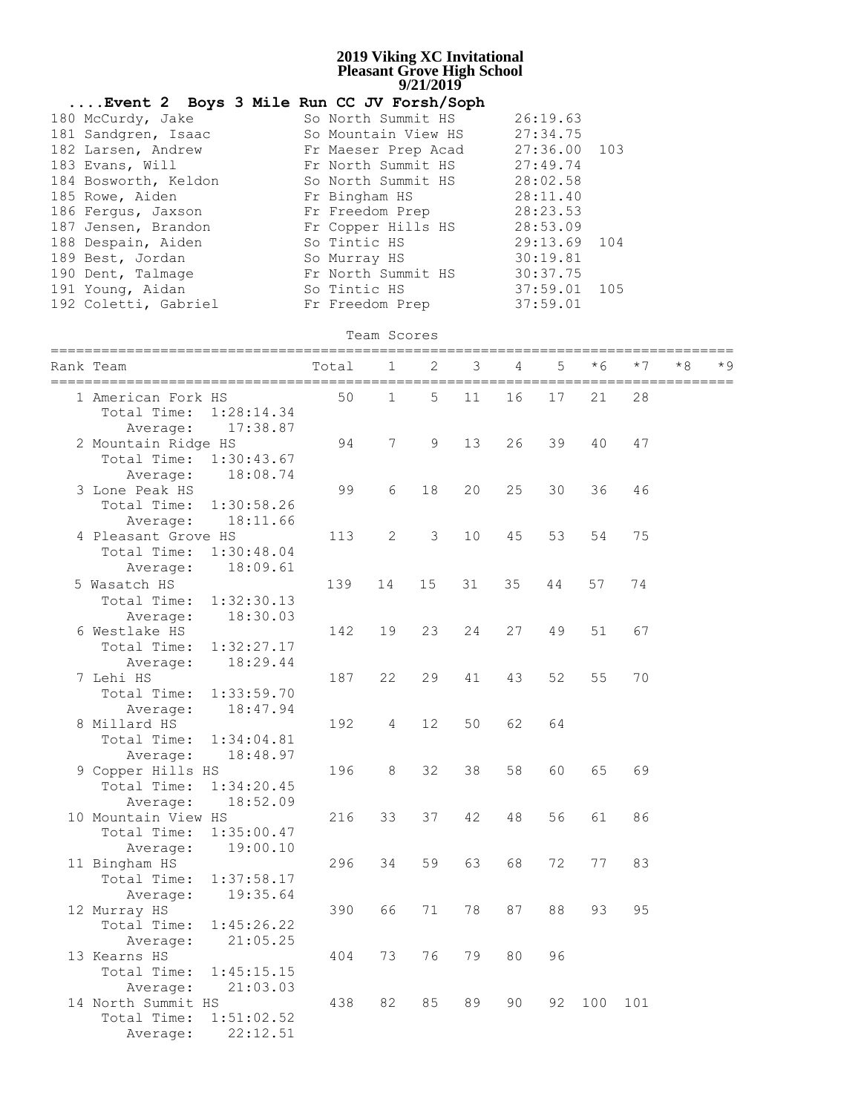|                                                     | Event 2 Boys 3 Mile Run CC JV Forsh/Soph                                 |                                                                  |                 |    |    |    |                                  |     |      |    |  |
|-----------------------------------------------------|--------------------------------------------------------------------------|------------------------------------------------------------------|-----------------|----|----|----|----------------------------------|-----|------|----|--|
|                                                     | 180 McCurdy, Jake<br>181 Sandgren, Isaac<br>182 Larsen, Andrew           | So North Summit HS<br>So Mountain View HS<br>Fr Maeser Prep Acad |                 |    |    |    | 26:19.63<br>27:34.75<br>27:36.00 | 103 |      |    |  |
|                                                     | 183 Evans, Will<br>184 Bosworth, Keldon<br>185 Rowe, Aiden               | Fr North Summit HS<br>So North Summit HS<br>Fr Bingham HS        |                 |    |    |    | 27:49.74<br>28:02.58<br>28:11.40 |     |      |    |  |
|                                                     | 186 Fergus, Jaxson<br>187 Jensen, Brandon<br>188 Despain, Aiden          | Fr Freedom Prep<br>Fr Copper Hills HS<br>So Tintic HS            |                 |    |    |    | 28:23.53<br>28:53.09<br>29:13.69 | 104 |      |    |  |
|                                                     | 189 Best, Jordan<br>190 Dent, Talmage<br>191 Young, Aidan                | So Murray HS<br>Fr North Summit HS<br>So Tintic HS               |                 |    |    |    | 30:19.81<br>30:37.75<br>37:59.01 | 105 |      |    |  |
|                                                     | 192 Coletti, Gabriel                                                     | Fr Freedom Prep                                                  |                 |    |    |    | 37:59.01                         |     |      |    |  |
| Team Scores<br>=======================<br>========= |                                                                          |                                                                  |                 |    |    |    |                                  |     |      |    |  |
|                                                     | Rank Team<br>===========================                                 | Total                                                            | 1               | 2  | 3  | 4  | 5                                | * 6 | $*7$ | *8 |  |
|                                                     | 1 American Fork HS<br>Total Time: 1:28:14.34<br>17:38.87<br>Average:     | 50                                                               | $\mathbf{1}$    | 5  | 11 | 16 | 17                               | 21  | 28   |    |  |
|                                                     | 2 Mountain Ridge HS<br>Total Time:<br>1:30:43.67<br>18:08.74<br>Average: | 94                                                               | 7               | 9  | 13 | 26 | 39                               | 40  | 47   |    |  |
|                                                     | 3 Lone Peak HS<br>1:30:58.26<br>Total Time:<br>18:11.66<br>Average:      | 99                                                               | 6               | 18 | 20 | 25 | 30                               | 36  | 46   |    |  |
|                                                     | 4 Pleasant Grove HS<br>Total Time:<br>1:30:48.04<br>18:09.61<br>Average: | 113                                                              | 2               | 3  | 10 | 45 | 53                               | 54  | 75   |    |  |
|                                                     | 5 Wasatch HS<br>Total Time:<br>1:32:30.13<br>18:30.03<br>Average:        | 139                                                              | 14              | 15 | 31 | 35 | 44                               | 57  | 74   |    |  |
|                                                     | 6 Westlake HS<br>Total Time:<br>1:32:27.17<br>18:29.44<br>Average:       | 142                                                              | 19              | 23 | 24 | 27 | 49                               | 51  | 67   |    |  |
|                                                     | 7 Lehi HS<br>Total Time:<br>1:33:59.70<br>18:47.94<br>Average:           | 187                                                              | 22              | 29 | 41 | 43 | 52                               | 55  | 70   |    |  |
|                                                     | 8 Millard HS<br>Total Time:<br>1:34:04.81<br>18:48.97<br>Average:        | 192                                                              | $4\overline{4}$ | 12 | 50 | 62 | 64                               |     |      |    |  |
|                                                     | 9 Copper Hills HS<br>Total Time:<br>1:34:20.45<br>18:52.09<br>Average:   | 196                                                              | 8               | 32 | 38 | 58 | 60                               | 65  | 69   |    |  |
|                                                     | 10 Mountain View HS<br>Total Time:<br>1:35:00.47<br>19:00.10<br>Average: | 216                                                              | 33              | 37 | 42 | 48 | 56                               | 61  | 86   |    |  |
|                                                     | 11 Bingham HS<br>Total Time:<br>1:37:58.17<br>19:35.64<br>Average:       | 296                                                              | 34              | 59 | 63 | 68 | 72                               | 77  | 83   |    |  |
|                                                     | 12 Murray HS<br>Total Time:<br>1:45:26.22<br>21:05.25<br>Average:        | 390                                                              | 66              | 71 | 78 | 87 | 88                               | 93  | 95   |    |  |
|                                                     | 13 Kearns HS<br>Total Time:<br>1:45:15.15<br>21:03.03<br>Average:        | 404                                                              | 73              | 76 | 79 | 80 | 96                               |     |      |    |  |
|                                                     | 14 North Summit HS<br>1:51:02.52<br>Total Time:<br>22:12.51<br>Average:  | 438                                                              | 82              | 85 | 89 | 90 | 92                               | 100 | 101  |    |  |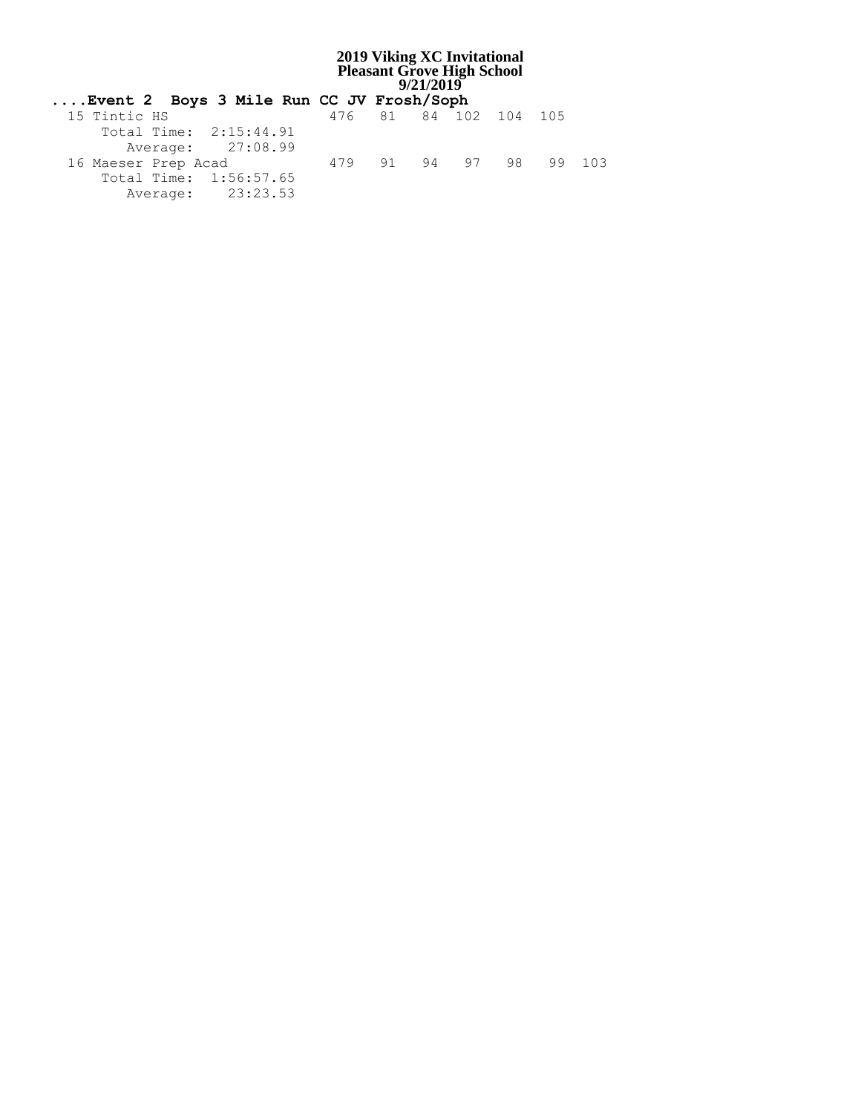| Event 2 Boys 3 Mile Run CC JV Frosh/Soph |                        |  |  |  |
|------------------------------------------|------------------------|--|--|--|
| 15 Tintic HS                             | 476 81 84 102 104 105  |  |  |  |
| Total Time: 2:15:44.91                   |                        |  |  |  |
| Average: 27:08.99                        |                        |  |  |  |
| 16 Maeser Prep Acad                      | 479 91 94 97 98 99 103 |  |  |  |
| Total Time: 1:56:57.65                   |                        |  |  |  |
| Average: 23:23.53                        |                        |  |  |  |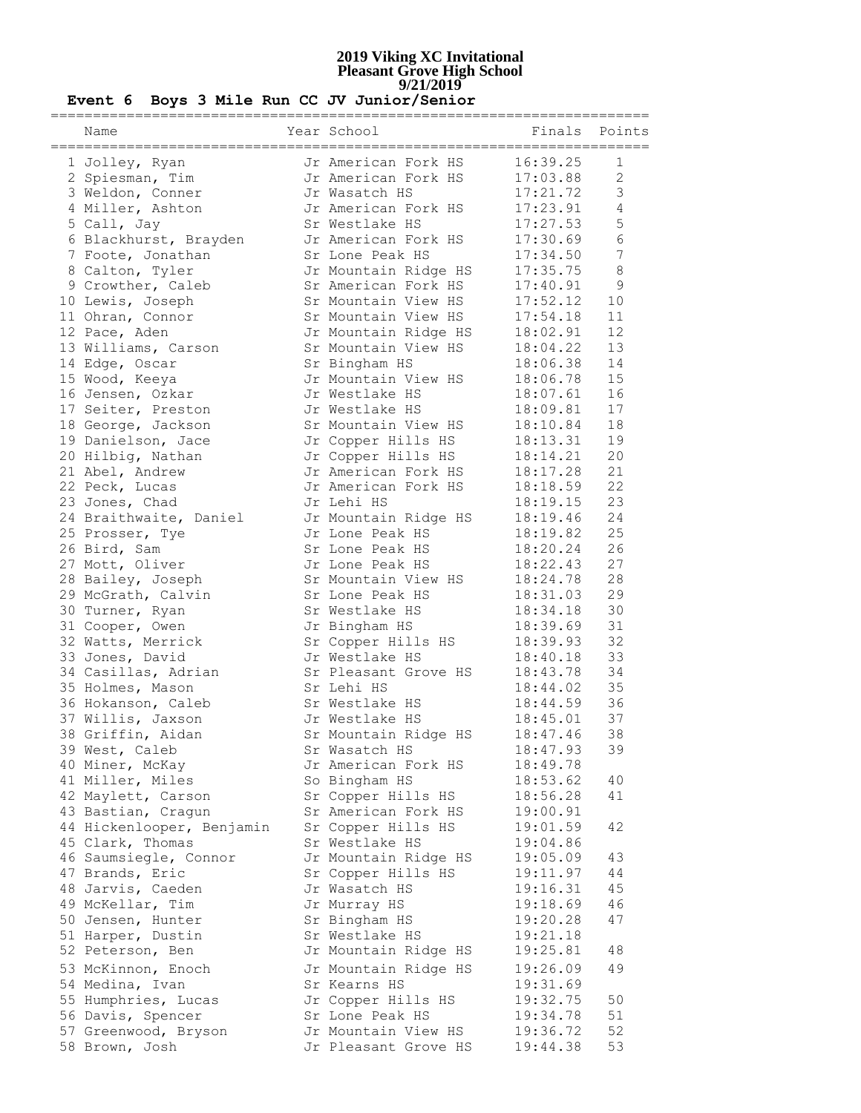| Name                      | Year School          |                      | Finals Points  |
|---------------------------|----------------------|----------------------|----------------|
| 1 Jolley, Ryan            | Jr American Fork HS  | 16:39.25             | 1              |
| 2 Spiesman, Tim           | Jr American Fork HS  | 17:03.88             | 2              |
| 3 Weldon, Conner          | Jr Wasatch HS        | 17:21.72             | $\mathfrak{Z}$ |
| 4 Miller, Ashton          | Jr American Fork HS  | 17:23.91             | $\overline{4}$ |
| 5 Call, Jay               | Sr Westlake HS       | 17:27.53             | 5              |
| 6 Blackhurst, Brayden     | Jr American Fork HS  | 17:30.69             | 6              |
| 7 Foote, Jonathan         | Sr Lone Peak HS      | 17:34.50             | 7              |
| 8 Calton, Tyler           | Jr Mountain Ridge HS | 17:35.75             | $8\,$          |
| 9 Crowther, Caleb         | Sr American Fork HS  | 17:40.91             | $\mathsf 9$    |
| 10 Lewis, Joseph          | Sr Mountain View HS  | 17:52.12             | 10             |
| 11 Ohran, Connor          | Sr Mountain View HS  | 17:54.18             | 11             |
| 12 Pace, Aden             | Jr Mountain Ridge HS | 18:02.91             | 12             |
|                           | Sr Mountain View HS  |                      | 13             |
| 13 Williams, Carson       |                      | 18:04.22<br>18:06.38 | 14             |
| 14 Edge, Oscar            | Sr Bingham HS        |                      |                |
| 15 Wood, Keeya            | Jr Mountain View HS  | 18:06.78             | 15<br>16       |
| 16 Jensen, Ozkar          | Jr Westlake HS       | 18:07.61             | 17             |
| 17 Seiter, Preston        | Jr Westlake HS       | 18:09.81             |                |
| 18 George, Jackson        | Sr Mountain View HS  | 18:10.84             | 18             |
| 19 Danielson, Jace        | Jr Copper Hills HS   | 18:13.31             | 19             |
| 20 Hilbig, Nathan         | Jr Copper Hills HS   | 18:14.21             | 20             |
| 21 Abel, Andrew           | Jr American Fork HS  | 18:17.28             | 21             |
| 22 Peck, Lucas            | Jr American Fork HS  | 18:18.59             | 22             |
| 23 Jones, Chad            | Jr Lehi HS           | 18:19.15             | 23             |
| 24 Braithwaite, Daniel    | Jr Mountain Ridge HS | 18:19.46             | 24             |
| 25 Prosser, Tye           | Jr Lone Peak HS      | 18:19.82             | 25             |
| 26 Bird, Sam              | Sr Lone Peak HS      | 18:20.24             | 26             |
| 27 Mott, Oliver           | Jr Lone Peak HS      | 18:22.43             | 27             |
| 28 Bailey, Joseph         | Sr Mountain View HS  | 18:24.78             | 28             |
| 29 McGrath, Calvin        | Sr Lone Peak HS      | 18:31.03             | 29             |
| 30 Turner, Ryan           | Sr Westlake HS       | 18:34.18             | 30             |
| 31 Cooper, Owen           | Jr Bingham HS        | 18:39.69             | 31             |
| 32 Watts, Merrick         | Sr Copper Hills HS   | 18:39.93             | 32             |
| 33 Jones, David           | Jr Westlake HS       | 18:40.18             | 33             |
| 34 Casillas, Adrian       | Sr Pleasant Grove HS | 18:43.78             | 34             |
| 35 Holmes, Mason          | Sr Lehi HS           | 18:44.02             | 35             |
| 36 Hokanson, Caleb        | Sr Westlake HS       | 18:44.59             | 36             |
| 37 Willis, Jaxson         | Jr Westlake HS       | 18:45.01             | 37             |
| 38 Griffin, Aidan         | Sr Mountain Ridge HS | 18:47.46             | 38             |
| 39 West, Caleb            | Sr Wasatch HS        | 18:47.93             | 39             |
| 40 Miner, McKay           | Jr American Fork HS  | 18:49.78             |                |
| 41 Miller, Miles          | So Bingham HS        | 18:53.62             | 40             |
| 42 Maylett, Carson        | Sr Copper Hills HS   | 18:56.28             | 41             |
| 43 Bastian, Cragun        | Sr American Fork HS  | 19:00.91             |                |
| 44 Hickenlooper, Benjamin | Sr Copper Hills HS   | 19:01.59             | 42             |
| 45 Clark, Thomas          | Sr Westlake HS       | 19:04.86             |                |
| 46 Saumsiegle, Connor     | Jr Mountain Ridge HS | 19:05.09             | 43             |
| 47 Brands, Eric           | Sr Copper Hills HS   | 19:11.97             | 44             |
| 48 Jarvis, Caeden         | Jr Wasatch HS        | 19:16.31             | 45             |
| 49 McKellar, Tim          | Jr Murray HS         | 19:18.69             | 46             |
| 50 Jensen, Hunter         | Sr Bingham HS        | 19:20.28             | 47             |
| 51 Harper, Dustin         | Sr Westlake HS       | 19:21.18             |                |
| 52 Peterson, Ben          | Jr Mountain Ridge HS | 19:25.81             | 48             |
| 53 McKinnon, Enoch        | Jr Mountain Ridge HS | 19:26.09             | 49             |
| 54 Medina, Ivan           | Sr Kearns HS         | 19:31.69             |                |
| 55 Humphries, Lucas       | Jr Copper Hills HS   | 19:32.75             | 50             |
| 56 Davis, Spencer         | Sr Lone Peak HS      | 19:34.78             | 51             |
| 57 Greenwood, Bryson      | Jr Mountain View HS  | 19:36.72             | 52             |
| 58 Brown, Josh            | Jr Pleasant Grove HS | 19:44.38             | 53             |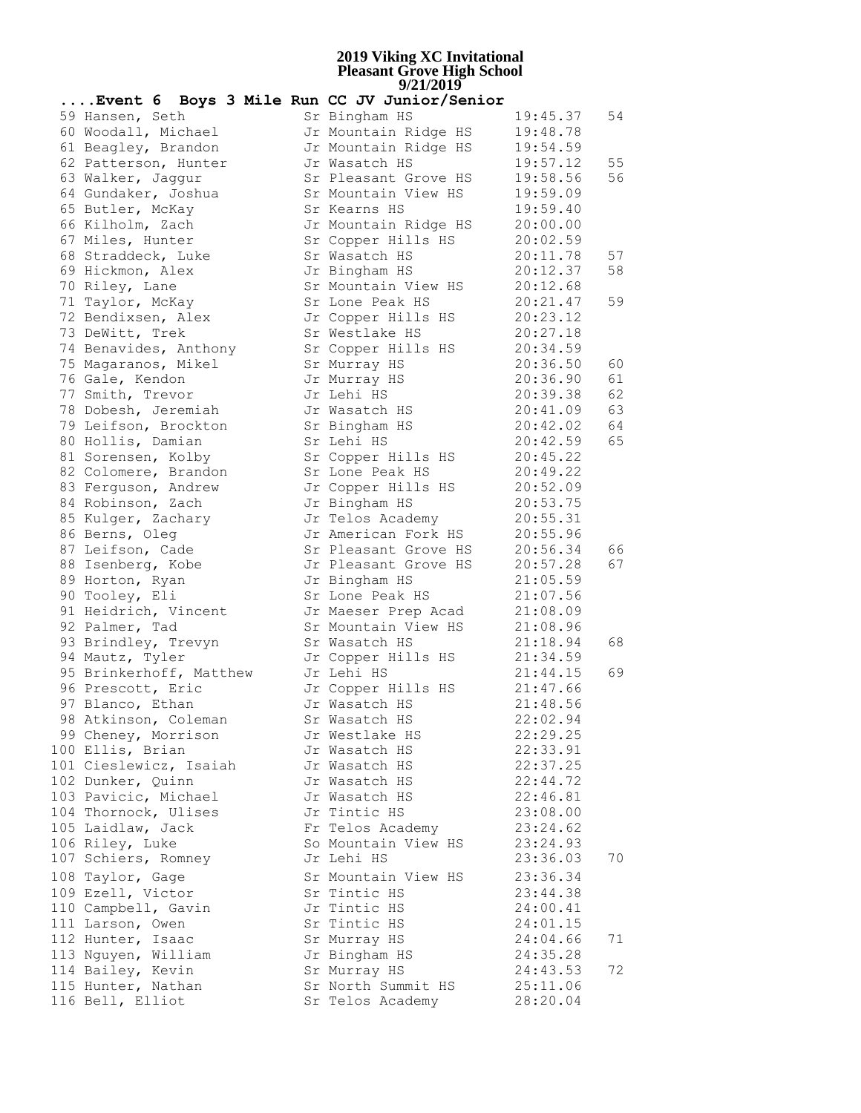| Event 6 Boys 3 Mile Run CC JV Junior/Senior |  |  |                |                      |          |    |
|---------------------------------------------|--|--|----------------|----------------------|----------|----|
| 59 Hansen, Seth                             |  |  | Sr Bingham HS  |                      | 19:45.37 | 54 |
| 60 Woodall, Michael                         |  |  |                | Jr Mountain Ridge HS | 19:48.78 |    |
| 61 Beagley, Brandon                         |  |  |                | Jr Mountain Ridge HS | 19:54.59 |    |
| 62 Patterson, Hunter                        |  |  | Jr Wasatch HS  |                      | 19:57.12 | 55 |
| 63 Walker, Jaggur                           |  |  |                | Sr Pleasant Grove HS | 19:58.56 | 56 |
| 64 Gundaker, Joshua                         |  |  |                | Sr Mountain View HS  | 19:59.09 |    |
| 65 Butler, McKay                            |  |  | Sr Kearns HS   |                      | 19:59.40 |    |
| 66 Kilholm, Zach                            |  |  |                | Jr Mountain Ridge HS | 20:00.00 |    |
| 67 Miles, Hunter                            |  |  |                | Sr Copper Hills HS   | 20:02.59 |    |
| 68 Straddeck, Luke                          |  |  | Sr Wasatch HS  |                      | 20:11.78 | 57 |
| 69 Hickmon, Alex                            |  |  | Jr Bingham HS  |                      | 20:12.37 | 58 |
| 70 Riley, Lane                              |  |  |                | Sr Mountain View HS  | 20:12.68 |    |
| 71 Taylor, McKay                            |  |  |                | Sr Lone Peak HS      | 20:21.47 | 59 |
| 72 Bendixsen, Alex                          |  |  |                | Jr Copper Hills HS   | 20:23.12 |    |
| 73 DeWitt, Trek                             |  |  | Sr Westlake HS |                      | 20:27.18 |    |
| 74 Benavides, Anthony                       |  |  |                | Sr Copper Hills HS   | 20:34.59 |    |
| 75 Magaranos, Mikel                         |  |  | Sr Murray HS   |                      | 20:36.50 | 60 |
| 76 Gale, Kendon                             |  |  | Jr Murray HS   |                      | 20:36.90 | 61 |
| 77 Smith, Trevor                            |  |  | Jr Lehi HS     |                      | 20:39.38 | 62 |
| 78 Dobesh, Jeremiah                         |  |  |                | Jr Wasatch HS        | 20:41.09 | 63 |
| 79 Leifson, Brockton                        |  |  | Sr Bingham HS  |                      | 20:42.02 | 64 |
| 80 Hollis, Damian                           |  |  | Sr Lehi HS     |                      | 20:42.59 | 65 |
| 81 Sorensen, Kolby                          |  |  |                | Sr Copper Hills HS   | 20:45.22 |    |
| 82 Colomere, Brandon                        |  |  |                | Sr Lone Peak HS      | 20:49.22 |    |
| 83 Ferguson, Andrew                         |  |  |                | Jr Copper Hills HS   | 20:52.09 |    |
| 84 Robinson, Zach                           |  |  | Jr Bingham HS  |                      | 20:53.75 |    |
| 85 Kulger, Zachary                          |  |  |                | Jr Telos Academy     | 20:55.31 |    |
| 86 Berns, Oleg                              |  |  |                | Jr American Fork HS  | 20:55.96 |    |
| 87 Leifson, Cade                            |  |  |                | Sr Pleasant Grove HS | 20:56.34 | 66 |
| 88 Isenberg, Kobe                           |  |  |                | Jr Pleasant Grove HS | 20:57.28 | 67 |
| 89 Horton, Ryan                             |  |  | Jr Bingham HS  |                      | 21:05.59 |    |
| 90 Tooley, Eli                              |  |  |                | Sr Lone Peak HS      | 21:07.56 |    |
| 91 Heidrich, Vincent                        |  |  |                | Jr Maeser Prep Acad  | 21:08.09 |    |
| 92 Palmer, Tad                              |  |  |                | Sr Mountain View HS  | 21:08.96 |    |
| 93 Brindley, Trevyn                         |  |  | Sr Wasatch HS  |                      | 21:18.94 | 68 |
| 94 Mautz, Tyler                             |  |  |                | Jr Copper Hills HS   | 21:34.59 |    |
| 95 Brinkerhoff, Matthew                     |  |  | Jr Lehi HS     |                      | 21:44.15 | 69 |
| 96 Prescott, Eric                           |  |  |                | Jr Copper Hills HS   | 21:47.66 |    |
| 97 Blanco, Ethan                            |  |  | Jr Wasatch HS  |                      | 21:48.56 |    |
| 98 Atkinson, Coleman                        |  |  | Sr Wasatch HS  |                      | 22:02.94 |    |
| 99 Cheney, Morrison                         |  |  | Jr Westlake HS |                      | 22:29.25 |    |
| 100 Ellis, Brian                            |  |  | Jr Wasatch HS  |                      | 22:33.91 |    |
| 101 Cieslewicz, Isaiah                      |  |  | Jr Wasatch HS  |                      | 22:37.25 |    |
| 102 Dunker, Quinn                           |  |  | Jr Wasatch HS  |                      | 22:44.72 |    |
| 103 Pavicic, Michael                        |  |  | Jr Wasatch HS  |                      | 22:46.81 |    |
| 104 Thornock, Ulises                        |  |  | Jr Tintic HS   |                      | 23:08.00 |    |
| 105 Laidlaw, Jack                           |  |  |                | Fr Telos Academy     | 23:24.62 |    |
| 106 Riley, Luke                             |  |  |                | So Mountain View HS  | 23:24.93 |    |
| 107 Schiers, Romney                         |  |  | Jr Lehi HS     |                      | 23:36.03 | 70 |
| 108 Taylor, Gage                            |  |  |                | Sr Mountain View HS  | 23:36.34 |    |
| 109 Ezell, Victor                           |  |  | Sr Tintic HS   |                      | 23:44.38 |    |
| 110 Campbell, Gavin                         |  |  | Jr Tintic HS   |                      | 24:00.41 |    |
| 111 Larson, Owen                            |  |  | Sr Tintic HS   |                      | 24:01.15 |    |
| 112 Hunter, Isaac                           |  |  | Sr Murray HS   |                      | 24:04.66 | 71 |
| 113 Nguyen, William                         |  |  | Jr Bingham HS  |                      | 24:35.28 |    |
| 114 Bailey, Kevin                           |  |  | Sr Murray HS   |                      | 24:43.53 | 72 |
| 115 Hunter, Nathan                          |  |  |                | Sr North Summit HS   | 25:11.06 |    |
| 116 Bell, Elliot                            |  |  |                | Sr Telos Academy     | 28:20.04 |    |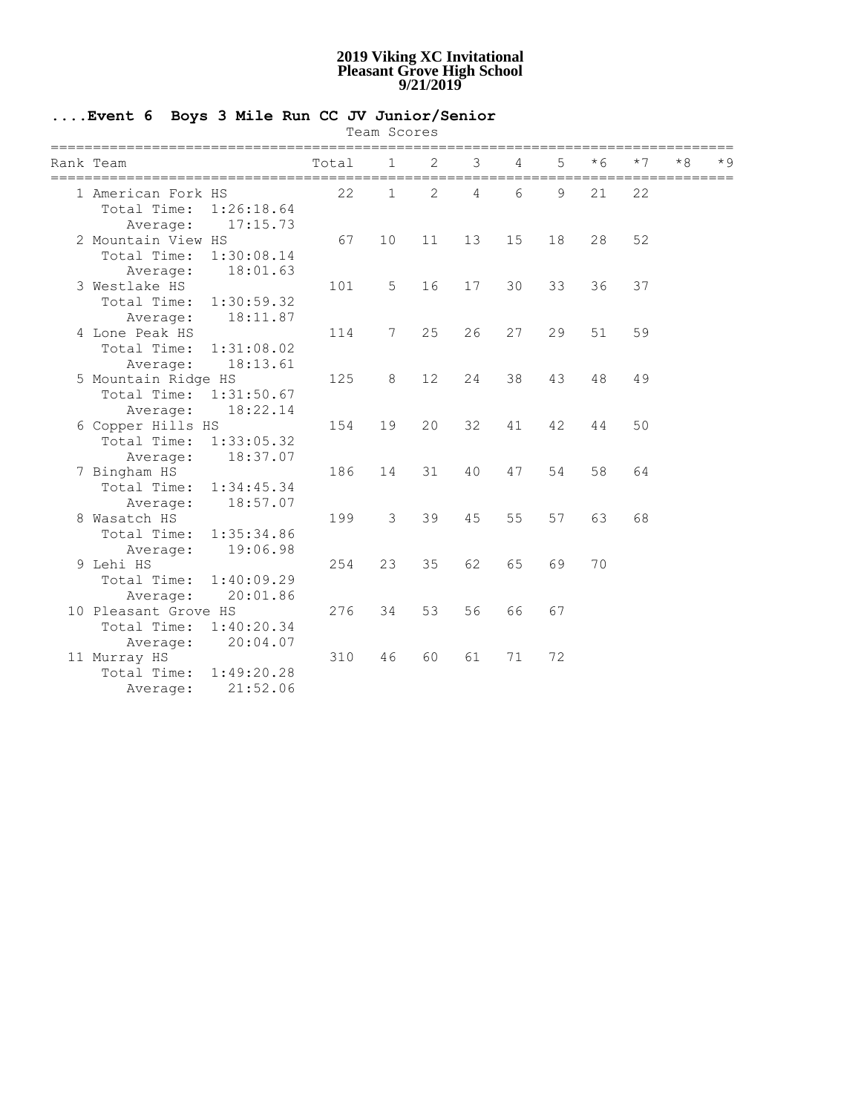### **....Event 6 Boys 3 Mile Run CC JV Junior/Senior**

Team Scores

| -------------<br>Rank Team | Total | 1.           |    | ς  | 4  |    | $*6$ | * 7 | * R | $\star$ 9 |
|----------------------------|-------|--------------|----|----|----|----|------|-----|-----|-----------|
| 1 American Fork HS         | 22    | $\mathbf{1}$ | 2  | 4  | 6  | 9  | 21   | 22  |     |           |
| Total Time:<br>1:26:18.64  |       |              |    |    |    |    |      |     |     |           |
| 17:15.73<br>Average:       |       |              |    |    |    |    |      |     |     |           |
| 2 Mountain View HS         | 67    | 10           | 11 | 13 | 15 | 18 | 28   | 52  |     |           |
| Total Time:<br>1:30:08.14  |       |              |    |    |    |    |      |     |     |           |
| 18:01.63<br>Average:       |       |              |    |    |    |    |      |     |     |           |
| 3 Westlake HS              | 101   | 5            | 16 | 17 | 30 | 33 | 36   | 37  |     |           |
| Total Time:<br>1:30:59.32  |       |              |    |    |    |    |      |     |     |           |
| 18:11.87<br>Average:       |       |              |    |    |    |    |      |     |     |           |
| 4 Lone Peak HS             | 114   | 7            | 25 | 26 | 27 | 29 | 51   | 59  |     |           |
| Total Time:<br>1:31:08.02  |       |              |    |    |    |    |      |     |     |           |
| 18:13.61<br>Average:       |       |              |    |    |    |    |      |     |     |           |
| 5 Mountain Ridge HS        | 125   | 8            | 12 | 24 | 38 | 43 | 48   | 49  |     |           |
| Total Time: 1:31:50.67     |       |              |    |    |    |    |      |     |     |           |
| 18:22.14<br>Average:       |       |              |    |    |    |    |      |     |     |           |
| 6 Copper Hills HS          | 154   | 19           | 20 | 32 | 41 | 42 | 44   | 50  |     |           |
| Total Time:<br>1:33:05.32  |       |              |    |    |    |    |      |     |     |           |
| 18:37.07<br>Average:       |       |              |    |    |    |    |      |     |     |           |
| 7 Bingham HS               | 186   | 14           | 31 | 40 | 47 | 54 | 58   | 64  |     |           |
| Total Time:<br>1:34:45.34  |       |              |    |    |    |    |      |     |     |           |
| 18:57.07<br>Average:       |       |              |    |    |    |    |      |     |     |           |
| 8 Wasatch HS               | 199   | 3            | 39 | 45 | 55 | 57 | 63   | 68  |     |           |
| Total Time:<br>1:35:34.86  |       |              |    |    |    |    |      |     |     |           |
| 19:06.98<br>Average:       |       |              |    |    |    |    |      |     |     |           |
| 9 Lehi HS                  | 254   | 23           | 35 | 62 | 65 | 69 | 70   |     |     |           |
| Total Time:<br>1:40:09.29  |       |              |    |    |    |    |      |     |     |           |
| 20:01.86<br>Average:       |       |              |    |    |    |    |      |     |     |           |
| 10 Pleasant Grove HS       | 276   | 34           | 53 | 56 | 66 | 67 |      |     |     |           |
| 1:40:20.34<br>Total Time:  |       |              |    |    |    |    |      |     |     |           |
| 20:04.07<br>Average:       |       |              |    |    |    |    |      |     |     |           |
| 11 Murray HS               | 310   | 46           | 60 | 61 | 71 | 72 |      |     |     |           |
| Total Time:<br>1:49:20.28  |       |              |    |    |    |    |      |     |     |           |
| 21:52.06<br>Average:       |       |              |    |    |    |    |      |     |     |           |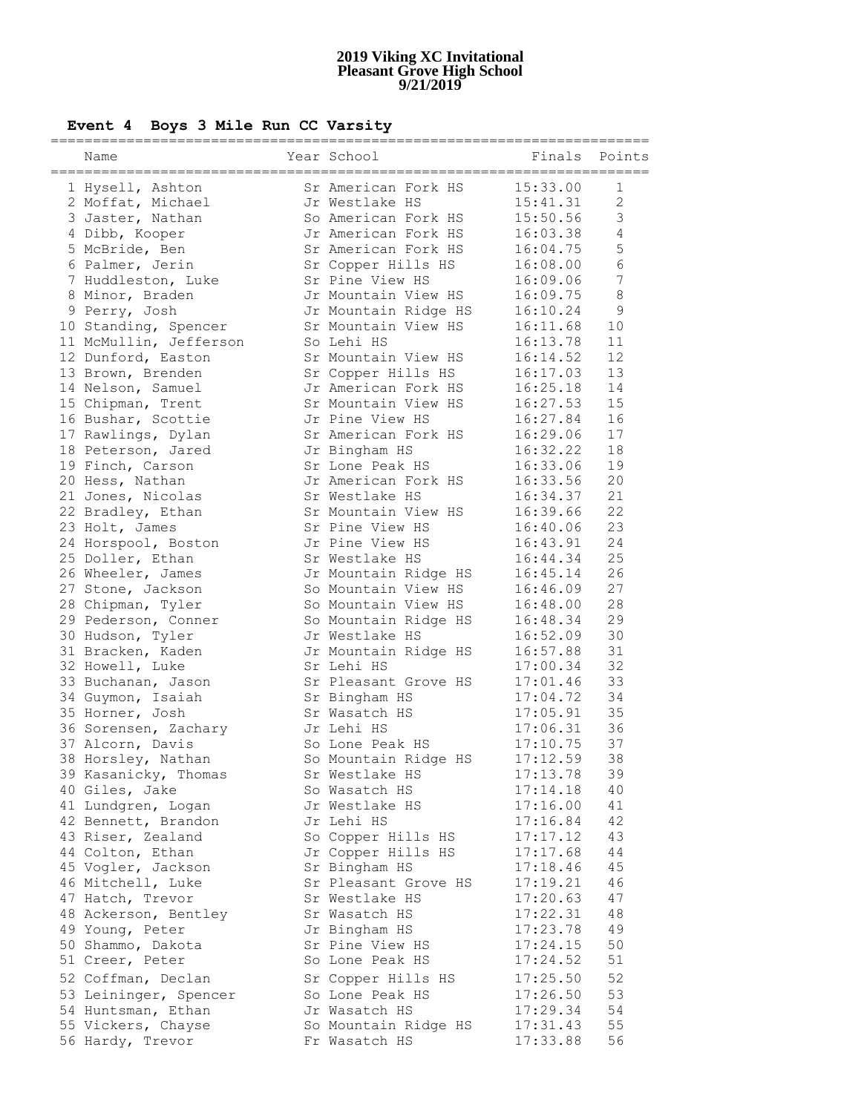# **Event 4 Boys 3 Mile Run CC Varsity**

| Name                                           | Year School                               | Finals               | Points          |
|------------------------------------------------|-------------------------------------------|----------------------|-----------------|
| 1 Hysell, Ashton                               | Sr American Fork HS                       | 15:33.00             | 1               |
| 2 Moffat, Michael                              | Jr Westlake HS                            | 15:41.31             | 2               |
| 3 Jaster, Nathan                               | So American Fork HS                       | 15:50.56             | $\mathfrak{Z}$  |
| 4 Dibb, Kooper                                 | Jr American Fork HS                       | 16:03.38             | $\overline{4}$  |
| 5 McBride, Ben                                 | Sr American Fork HS                       | 16:04.75             | 5               |
| 6 Palmer, Jerin                                | Sr Copper Hills HS                        | 16:08.00             | $\sqrt{6}$      |
| 7 Huddleston, Luke                             | Sr Pine View HS                           | 16:09.06             | $7\phantom{.0}$ |
| 8 Minor, Braden                                | Jr Mountain View HS                       | 16:09.75             | $\,8\,$         |
| 9 Perry, Josh                                  | Jr Mountain Ridge HS                      | 16:10.24             | $\overline{9}$  |
|                                                | Sr Mountain View HS                       | 16:11.68             | 10              |
| 10 Standing, Spencer<br>11 McMullin, Jefferson | So Lehi HS                                | 16:13.78             | 11              |
|                                                | Sr Mountain View HS                       | 16:14.52             | 12              |
| 12 Dunford, Easton                             |                                           |                      | 13              |
| 13 Brown, Brenden                              | Sr Copper Hills HS<br>Jr American Fork HS | 16:17.03             | 14              |
| 14 Nelson, Samuel                              | Sr Mountain View HS                       | 16:25.18             | 15              |
| 15 Chipman, Trent                              | Jr Pine View HS                           | 16:27.53             | 16              |
| 16 Bushar, Scottie                             | Sr American Fork HS                       | 16:27.84             | 17              |
| 17 Rawlings, Dylan                             |                                           | 16:29.06             |                 |
| 18 Peterson, Jared                             | Jr Bingham HS                             | 16:32.22             | 18              |
| 19 Finch, Carson                               | Sr Lone Peak HS                           | 16:33.06             | 19              |
| 20 Hess, Nathan                                | Jr American Fork HS                       | 16:33.56             | 20              |
| 21 Jones, Nicolas                              | Sr Westlake HS                            | 16:34.37             | 21              |
| 22 Bradley, Ethan                              | Sr Mountain View HS                       | 16:39.66             | 22              |
| 23 Holt, James                                 | Sr Pine View HS                           | 16:40.06             | 23              |
| 24 Horspool, Boston                            | Jr Pine View HS                           | 16:43.91             | 24              |
| 25 Doller, Ethan                               | Sr Westlake HS                            | 16:44.34             | 25              |
| 26 Wheeler, James                              | Jr Mountain Ridge HS                      | 16:45.14             | 26              |
| 27 Stone, Jackson                              | So Mountain View HS                       | 16:46.09             | 27              |
| 28 Chipman, Tyler                              | So Mountain View HS                       | 16:48.00             | 28              |
| 29 Pederson, Conner                            | So Mountain Ridge HS                      | 16:48.34             | 29              |
| 30 Hudson, Tyler                               | Jr Westlake HS                            | 16:52.09             | 30              |
| 31 Bracken, Kaden                              | Jr Mountain Ridge HS                      | 16:57.88             | 31<br>32        |
| 32 Howell, Luke                                | Sr Lehi HS                                | 17:00.34             |                 |
| 33 Buchanan, Jason                             | Sr Pleasant Grove HS                      | 17:01.46             | 33              |
| 34 Guymon, Isaiah                              | Sr Bingham HS                             | 17:04.72             | 34<br>35        |
| 35 Horner, Josh                                | Sr Wasatch HS                             | 17:05.91             |                 |
| 36 Sorensen, Zachary                           | Jr Lehi HS                                | 17:06.31             | 36              |
| 37 Alcorn, Davis                               | So Lone Peak HS                           | 17:10.75             | 37              |
| 38 Horsley, Nathan                             | So Mountain Ridge HS                      | 17:12.59             | 38              |
| 39 Kasanicky, Thomas                           | Sr Westlake HS                            | 17:13.78             | 39              |
| 40 Giles, Jake                                 | So Wasatch HS                             | 17:14.18             | 40              |
| 41 Lundgren, Logan                             | Jr Westlake HS                            | 17:16.00             | 41<br>42        |
| 42 Bennett, Brandon                            | Jr Lehi HS                                | 17:16.84             |                 |
| 43 Riser, Zealand                              | So Copper Hills HS<br>Jr Copper Hills HS  | 17:17.12             | 43<br>44        |
| 44 Colton, Ethan                               |                                           | 17:17.68             |                 |
| 45 Vogler, Jackson                             | Sr Bingham HS                             | 17:18.46             | 45              |
| 46 Mitchell, Luke                              | Sr Pleasant Grove HS                      | 17:19.21             | 46              |
| 47 Hatch, Trevor                               | Sr Westlake HS                            | 17:20.63<br>17:22.31 | 47              |
| 48 Ackerson, Bentley                           | Sr Wasatch HS                             | 17:23.78             | 48              |
| 49 Young, Peter                                | Jr Bingham HS                             |                      | 49              |
| 50 Shammo, Dakota<br>51 Creer, Peter           | Sr Pine View HS<br>So Lone Peak HS        | 17:24.15<br>17:24.52 | 50<br>51        |
|                                                |                                           |                      |                 |
| 52 Coffman, Declan                             | Sr Copper Hills HS                        | 17:25.50             | 52              |
| 53 Leininger, Spencer                          | So Lone Peak HS                           | 17:26.50             | 53              |
| 54 Huntsman, Ethan                             | Jr Wasatch HS                             | 17:29.34             | 54              |
| 55 Vickers, Chayse                             | So Mountain Ridge HS                      | 17:31.43             | 55              |
| 56 Hardy, Trevor                               | Fr Wasatch HS                             | 17:33.88             | 56              |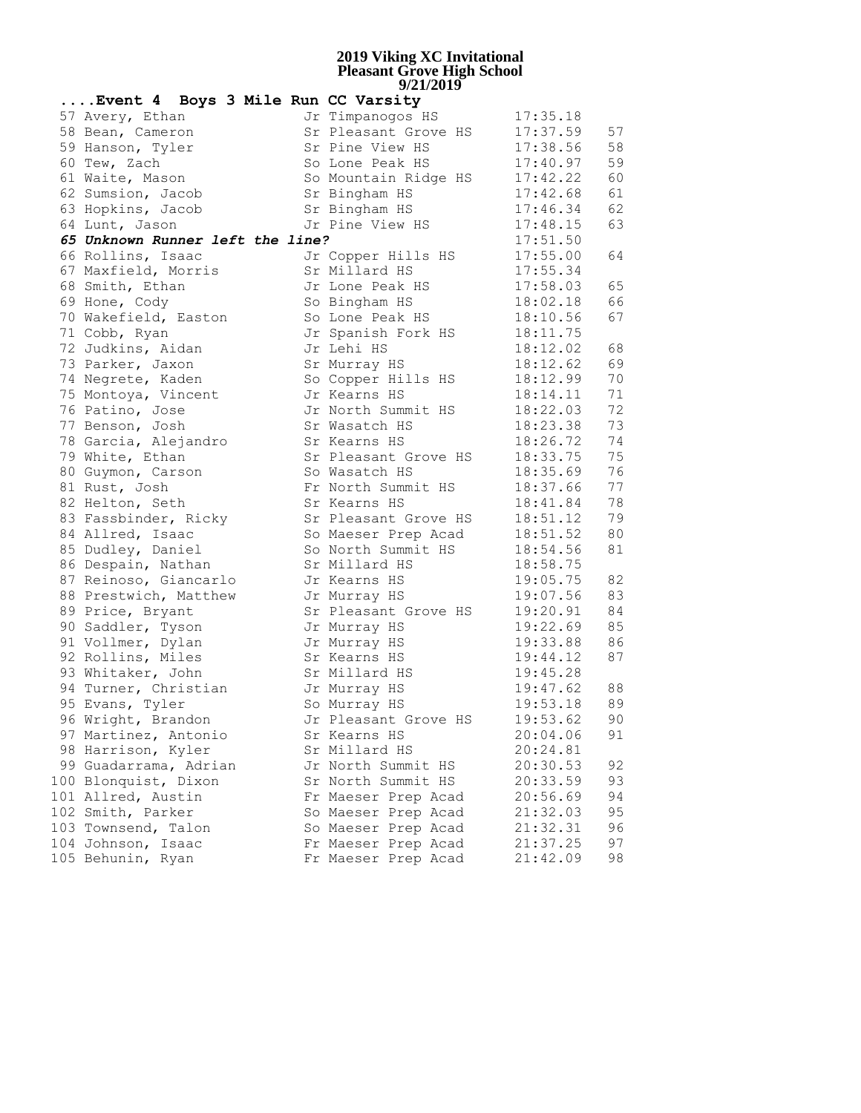| Event 4 Boys 3 Mile Run CC Varsity |                      |          |      |
|------------------------------------|----------------------|----------|------|
| 57 Avery, Ethan                    | Jr Timpanogos HS     | 17:35.18 |      |
| 58 Bean, Cameron                   | Sr Pleasant Grove HS | 17:37.59 | 57   |
| 59 Hanson, Tyler                   | Sr Pine View HS      | 17:38.56 | 58   |
| 60 Tew, Zach                       | So Lone Peak HS      | 17:40.97 | 59   |
| 61 Waite, Mason                    | So Mountain Ridge HS | 17:42.22 | 60   |
| 62 Sumsion, Jacob                  | Sr Bingham HS        | 17:42.68 | 61   |
| 63 Hopkins, Jacob                  | Sr Bingham HS        | 17:46.34 | 62   |
| 64 Lunt, Jason                     | Jr Pine View HS      | 17:48.15 | 63   |
| 65 Unknown Runner left the line?   |                      | 17:51.50 |      |
| 66 Rollins, Isaac                  | Jr Copper Hills HS   | 17:55.00 | 64   |
| 67 Maxfield, Morris                | Sr Millard HS        | 17:55.34 |      |
| 68 Smith, Ethan                    | Jr Lone Peak HS      | 17:58.03 | 65   |
| 69 Hone, Cody                      | So Bingham HS        | 18:02.18 | 66   |
| 70 Wakefield, Easton               | So Lone Peak HS      | 18:10.56 | 67   |
| 71 Cobb, Ryan                      | Jr Spanish Fork HS   | 18:11.75 |      |
| 72 Judkins, Aidan                  | Jr Lehi HS           | 18:12.02 | 68   |
| 73 Parker, Jaxon                   | Sr Murray HS         | 18:12.62 | 69   |
| 74 Negrete, Kaden                  | So Copper Hills HS   | 18:12.99 | 70   |
| 75 Montoya, Vincent                | Jr Kearns HS         | 18:14.11 | 71   |
| 76 Patino, Jose                    | Jr North Summit HS   | 18:22.03 | 72   |
| 77 Benson, Josh                    | Sr Wasatch HS        | 18:23.38 | 73   |
| 78 Garcia, Alejandro               | Sr Kearns HS         | 18:26.72 | 74   |
| 79 White, Ethan                    | Sr Pleasant Grove HS | 18:33.75 | 75   |
| 80 Guymon, Carson                  | So Wasatch HS        | 18:35.69 | 76   |
| 81 Rust, Josh                      | Fr North Summit HS   | 18:37.66 | 77   |
| 82 Helton, Seth                    | Sr Kearns HS         | 18:41.84 | 78   |
| 83 Fassbinder, Ricky               | Sr Pleasant Grove HS | 18:51.12 | 79   |
| 84 Allred, Isaac                   | So Maeser Prep Acad  | 18:51.52 | 80   |
| 85 Dudley, Daniel                  | So North Summit HS   | 18:54.56 | 81   |
| 86 Despain, Nathan                 | Sr Millard HS        | 18:58.75 |      |
| 87 Reinoso, Giancarlo              | Jr Kearns HS         | 19:05.75 | 82   |
| 88 Prestwich, Matthew              | Jr Murray HS         | 19:07.56 | 83   |
| 89 Price, Bryant                   | Sr Pleasant Grove HS | 19:20.91 | 84   |
| 90 Saddler, Tyson                  | Jr Murray HS         | 19:22.69 | 85   |
| 91 Vollmer, Dylan                  | Jr Murray HS         | 19:33.88 | 86   |
| 92 Rollins, Miles                  | Sr Kearns HS         | 19:44.12 | 87   |
| 93 Whitaker, John                  | Sr Millard HS        | 19:45.28 |      |
| 94 Turner, Christian               | Jr Murray HS         | 19:47.62 | 88   |
| 95 Evans, Tyler                    | So Murray HS         | 19:53.18 | 89   |
| 96 Wright, Brandon                 | Jr Pleasant Grove HS | 19:53.62 | $90$ |
| 97 Martinez, Antonio               | Sr Kearns HS         | 20:04.06 | 91   |
| 98 Harrison, Kyler                 | Sr Millard HS        | 20:24.81 |      |
| 99 Guadarrama, Adrian              | Jr North Summit HS   | 20:30.53 | 92   |
| 100 Blonquist, Dixon               | Sr North Summit HS   | 20:33.59 | 93   |
| 101 Allred, Austin                 | Fr Maeser Prep Acad  | 20:56.69 | 94   |
| 102 Smith, Parker                  | So Maeser Prep Acad  | 21:32.03 | 95   |
| 103 Townsend, Talon                | So Maeser Prep Acad  | 21:32.31 | 96   |
| 104 Johnson, Isaac                 | Fr Maeser Prep Acad  | 21:37.25 | 97   |
| 105 Behunin, Ryan                  | Fr Maeser Prep Acad  | 21:42.09 | 98   |